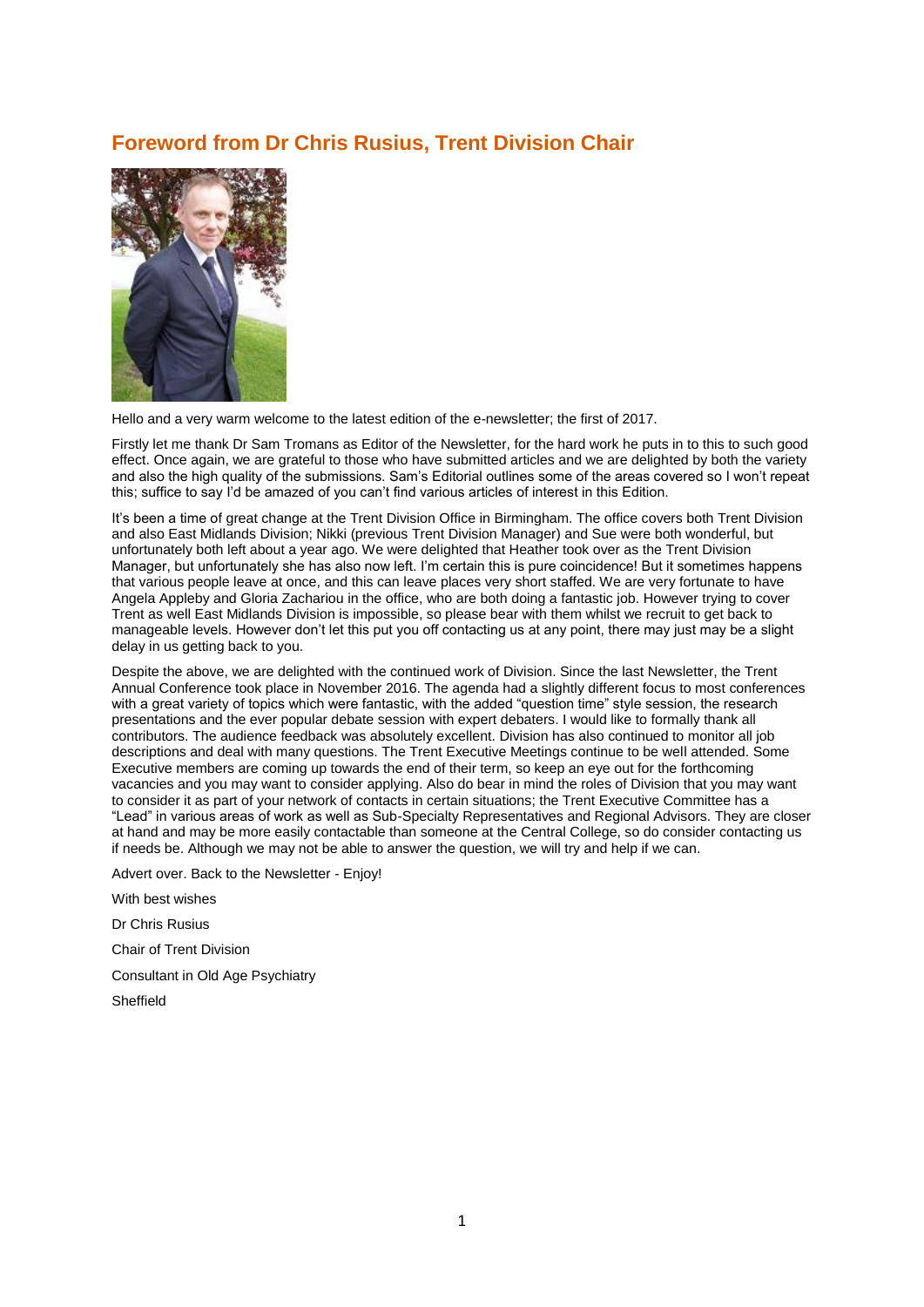### **Foreword from Dr Chris Rusius, Trent Division Chair**



Hello and a very warm welcome to the latest edition of the e-newsletter; the first of 2017.

Firstly let me thank Dr Sam Tromans as Editor of the Newsletter, for the hard work he puts in to this to such good effect. Once again, we are grateful to those who have submitted articles and we are delighted by both the variety and also the high quality of the submissions. Sam's Editorial outlines some of the areas covered so I won't repeat this; suffice to say I'd be amazed of you can't find various articles of interest in this Edition.

It's been a time of great change at the Trent Division Office in Birmingham. The office covers both Trent Division and also East Midlands Division; Nikki (previous Trent Division Manager) and Sue were both wonderful, but unfortunately both left about a year ago. We were delighted that Heather took over as the Trent Division Manager, but unfortunately she has also now left. I'm certain this is pure coincidence! But it sometimes happens that various people leave at once, and this can leave places very short staffed. We are very fortunate to have Angela Appleby and Gloria Zachariou in the office, who are both doing a fantastic job. However trying to cover Trent as well East Midlands Division is impossible, so please bear with them whilst we recruit to get back to manageable levels. However don't let this put you off contacting us at any point, there may just may be a slight delay in us getting back to you.

Despite the above, we are delighted with the continued work of Division. Since the last Newsletter, the Trent Annual Conference took place in November 2016. The agenda had a slightly different focus to most conferences with a great variety of topics which were fantastic, with the added "question time" style session, the research presentations and the ever popular debate session with expert debaters. I would like to formally thank all contributors. The audience feedback was absolutely excellent. Division has also continued to monitor all job descriptions and deal with many questions. The Trent Executive Meetings continue to be well attended. Some Executive members are coming up towards the end of their term, so keep an eye out for the forthcoming vacancies and you may want to consider applying. Also do bear in mind the roles of Division that you may want to consider it as part of your network of contacts in certain situations; the Trent Executive Committee has a "Lead" in various areas of work as well as Sub-Specialty Representatives and Regional Advisors. They are closer at hand and may be more easily contactable than someone at the Central College, so do consider contacting us if needs be. Although we may not be able to answer the question, we will try and help if we can.

Advert over. Back to the Newsletter - Enjoy!

With best wishes Dr Chris Rusius Chair of Trent Division Consultant in Old Age Psychiatry **Sheffield**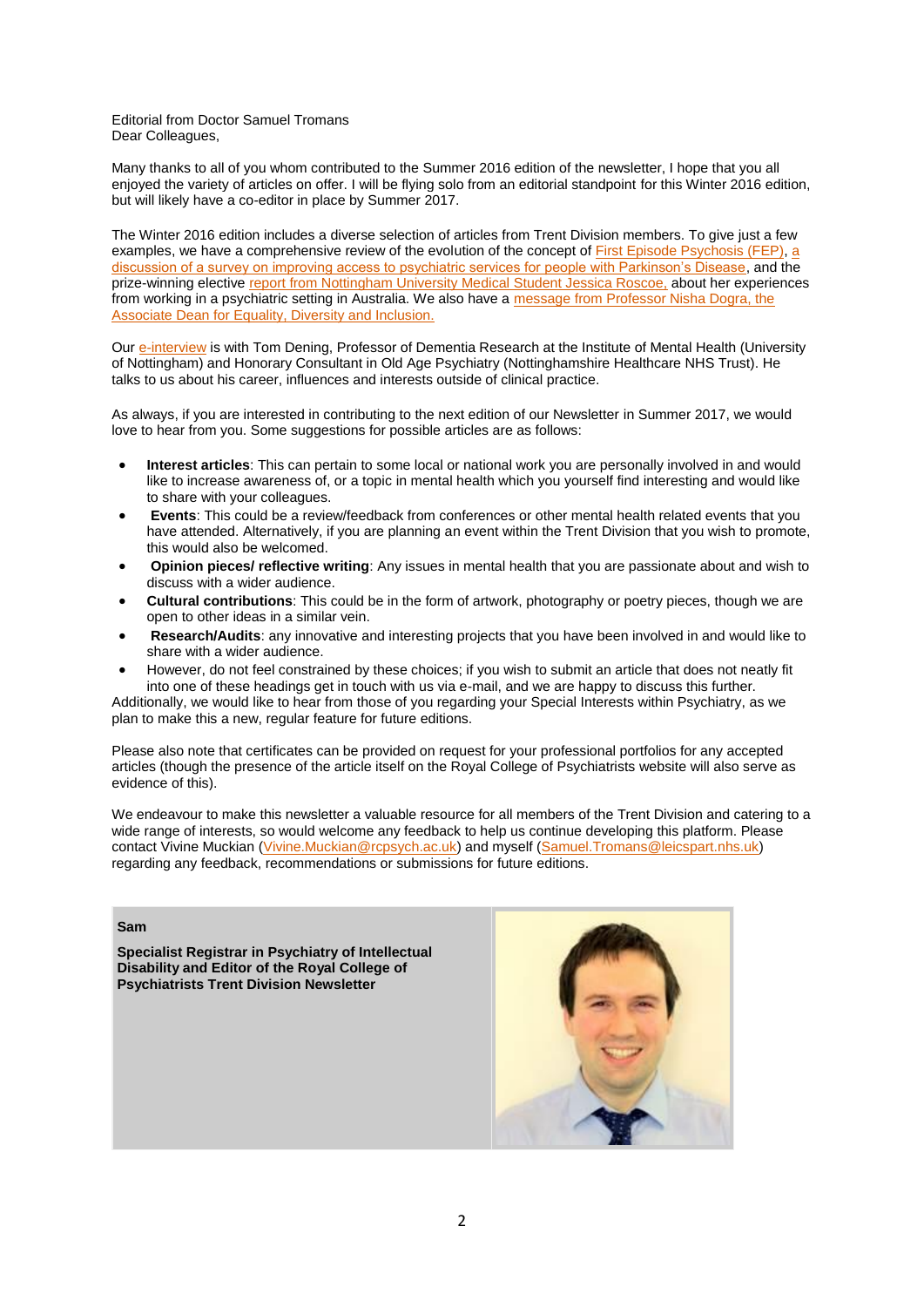#### Editorial from Doctor Samuel Tromans Dear Colleagues,

Many thanks to all of you whom contributed to the Summer 2016 edition of the newsletter, I hope that you all enjoyed the variety of articles on offer. I will be flying solo from an editorial standpoint for this Winter 2016 edition, but will likely have a co-editor in place by Summer 2017.

The Winter 2016 edition includes a diverse selection of articles from Trent Division members. To give just a few examples, we have a comprehensive review of the evolution of the concept of [First Episode Psychosis \(FEP\),](https://www.rcpsych.ac.uk/workinpsychiatry/divisions/trent/enewsletters-trent/enewsletter-winter2016/fep.aspx) a [discussion of a survey on improving access to psychiatric services for people with Parkinson's Disease,](https://www.rcpsych.ac.uk/workinpsychiatry/divisions/trent/enewsletters-trent/enewsletter-winter2016/livingbeyonddementia.aspx) and the prize-winning elective [report from Nottingham University Medical Student Jessica Roscoe,](https://www.rcpsych.ac.uk/workinpsychiatry/divisions/trent/enewsletters-trent/enewsletter-winter2016/myelectiveinpsychiatry.aspx) about her experiences from working in a psychiatric setting in Australia. We also have a [message from Professor Nisha Dogra, the](https://www.rcpsych.ac.uk/workinpsychiatry/divisions/trent/enewsletters-trent/enewsletter-winter2016/equality,diversity.aspx)  [Associate Dean for Equality, Diversity and Inclusion.](https://www.rcpsych.ac.uk/workinpsychiatry/divisions/trent/enewsletters-trent/enewsletter-winter2016/equality,diversity.aspx)

Our [e-interview](https://www.rcpsych.ac.uk/workinpsychiatry/divisions/trent/enewsletters-trent/enewsletter-winter2016/einterviewwithtomdening.aspx) is with Tom Dening, Professor of Dementia Research at the Institute of Mental Health (University of Nottingham) and Honorary Consultant in Old Age Psychiatry (Nottinghamshire Healthcare NHS Trust). He talks to us about his career, influences and interests outside of clinical practice.

As always, if you are interested in contributing to the next edition of our Newsletter in Summer 2017, we would love to hear from you. Some suggestions for possible articles are as follows:

- **Interest articles**: This can pertain to some local or national work you are personally involved in and would like to increase awareness of, or a topic in mental health which you yourself find interesting and would like to share with your colleagues.
- **Events**: This could be a review/feedback from conferences or other mental health related events that you have attended. Alternatively, if you are planning an event within the Trent Division that you wish to promote, this would also be welcomed.
- **Opinion pieces/ reflective writing**: Any issues in mental health that you are passionate about and wish to discuss with a wider audience.
- **Cultural contributions**: This could be in the form of artwork, photography or poetry pieces, though we are open to other ideas in a similar vein.
- **Research/Audits**: any innovative and interesting projects that you have been involved in and would like to share with a wider audience.
- However, do not feel constrained by these choices; if you wish to submit an article that does not neatly fit into one of these headings get in touch with us via e-mail, and we are happy to discuss this further.

Additionally, we would like to hear from those of you regarding your Special Interests within Psychiatry, as we plan to make this a new, regular feature for future editions.

Please also note that certificates can be provided on request for your professional portfolios for any accepted articles (though the presence of the article itself on the Royal College of Psychiatrists website will also serve as evidence of this).

We endeavour to make this newsletter a valuable resource for all members of the Trent Division and catering to a wide range of interests, so would welcome any feedback to help us continue developing this platform. Please contact Vivine Muckian [\(Vivine.Muckian@rcpsych.ac.uk\)](mailto:Vivine.Muckian@rcpsych.ac.uk) and myself [\(Samuel.Tromans@leicspart.nhs.uk\)](mailto:Samuel.Tromans@leicspart.nhs.uk) regarding any feedback, recommendations or submissions for future editions.

#### **Sam**

**Specialist Registrar in Psychiatry of Intellectual Disability and Editor of the Royal College of Psychiatrists Trent Division Newsletter** 

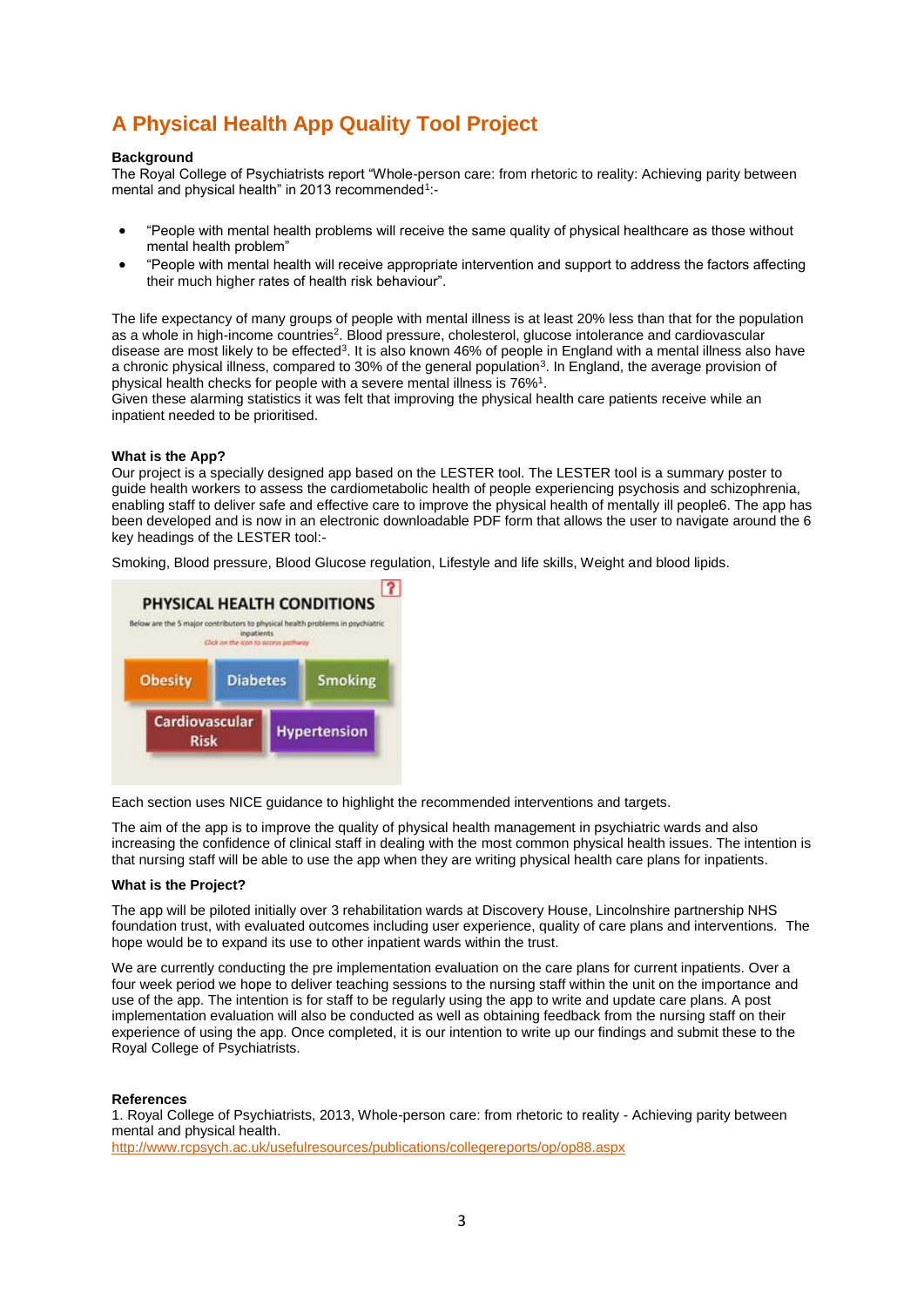# **A Physical Health App Quality Tool Project**

#### **Background**

The Royal College of Psychiatrists report "Whole-person care: from rhetoric to reality: Achieving parity between mental and physical health" in 2013 recommended<sup>1</sup>:-

- "People with mental health problems will receive the same quality of physical healthcare as those without mental health problem"
- "People with mental health will receive appropriate intervention and support to address the factors affecting their much higher rates of health risk behaviour".

The life expectancy of many groups of people with mental illness is at least 20% less than that for the population as a whole in high-income countries<sup>2</sup>. Blood pressure, cholesterol, glucose intolerance and cardiovascular disease are most likely to be effected<sup>3</sup>. It is also known 46% of people in England with a mental illness also have a chronic physical illness, compared to 30% of the general population<sup>3</sup>. In England, the average provision of physical health checks for people with a severe mental illness is 76%<sup>1</sup>.

Given these alarming statistics it was felt that improving the physical health care patients receive while an inpatient needed to be prioritised.

#### **What is the App?**

Our project is a specially designed app based on the LESTER tool. The LESTER tool is a summary poster to guide health workers to assess the cardiometabolic health of people experiencing psychosis and schizophrenia, enabling staff to deliver safe and effective care to improve the physical health of mentally ill people6. The app has been developed and is now in an electronic downloadable PDF form that allows the user to navigate around the 6 key headings of the LESTER tool:-

Smoking, Blood pressure, Blood Glucose regulation, Lifestyle and life skills, Weight and blood lipids.



Each section uses NICE guidance to highlight the recommended interventions and targets.

The aim of the app is to improve the quality of physical health management in psychiatric wards and also increasing the confidence of clinical staff in dealing with the most common physical health issues. The intention is that nursing staff will be able to use the app when they are writing physical health care plans for inpatients.

#### **What is the Project?**

The app will be piloted initially over 3 rehabilitation wards at Discovery House, Lincolnshire partnership NHS foundation trust, with evaluated outcomes including user experience, quality of care plans and interventions. The hope would be to expand its use to other inpatient wards within the trust.

We are currently conducting the pre implementation evaluation on the care plans for current inpatients. Over a four week period we hope to deliver teaching sessions to the nursing staff within the unit on the importance and use of the app. The intention is for staff to be regularly using the app to write and update care plans. A post implementation evaluation will also be conducted as well as obtaining feedback from the nursing staff on their experience of using the app. Once completed, it is our intention to write up our findings and submit these to the Royal College of Psychiatrists.

#### **References**

1. Royal College of Psychiatrists, 2013, Whole-person care: from rhetoric to reality - Achieving parity between mental and physical health.

<http://www.rcpsych.ac.uk/usefulresources/publications/collegereports/op/op88.aspx>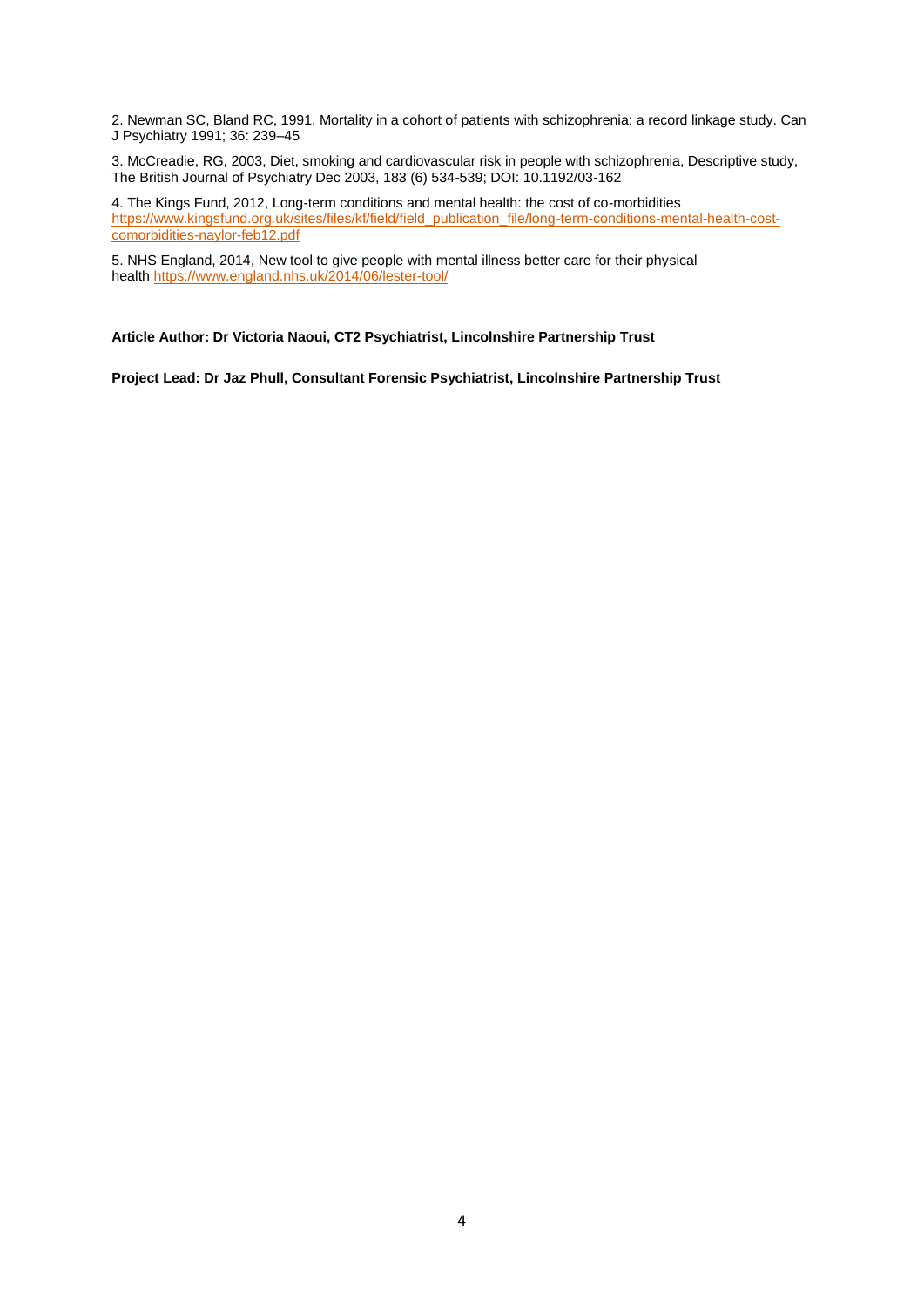2. Newman SC, Bland RC, 1991, Mortality in a cohort of patients with schizophrenia: a record linkage study. Can J Psychiatry 1991; 36: 239–45

3. McCreadie, RG, 2003, Diet, smoking and cardiovascular risk in people with schizophrenia, Descriptive study, The British Journal of Psychiatry Dec 2003, 183 (6) 534-539; DOI: 10.1192/03-162

4. The Kings Fund, 2012, Long-term conditions and mental health: the cost of co-morbidities [https://www.kingsfund.org.uk/sites/files/kf/field/field\\_publication\\_file/long-term-conditions-mental-health-cost](https://www.kingsfund.org.uk/sites/files/kf/field/field_publication_file/long-term-conditions-mental-health-cost-comorbidities-naylor-feb12.pdf)[comorbidities-naylor-feb12.pdf](https://www.kingsfund.org.uk/sites/files/kf/field/field_publication_file/long-term-conditions-mental-health-cost-comorbidities-naylor-feb12.pdf)

5. NHS England, 2014, New tool to give people with mental illness better care for their physical health <https://www.england.nhs.uk/2014/06/lester-tool/>

**Article Author: Dr Victoria Naoui, CT2 Psychiatrist, Lincolnshire Partnership Trust**

**Project Lead: Dr Jaz Phull, Consultant Forensic Psychiatrist, Lincolnshire Partnership Trust**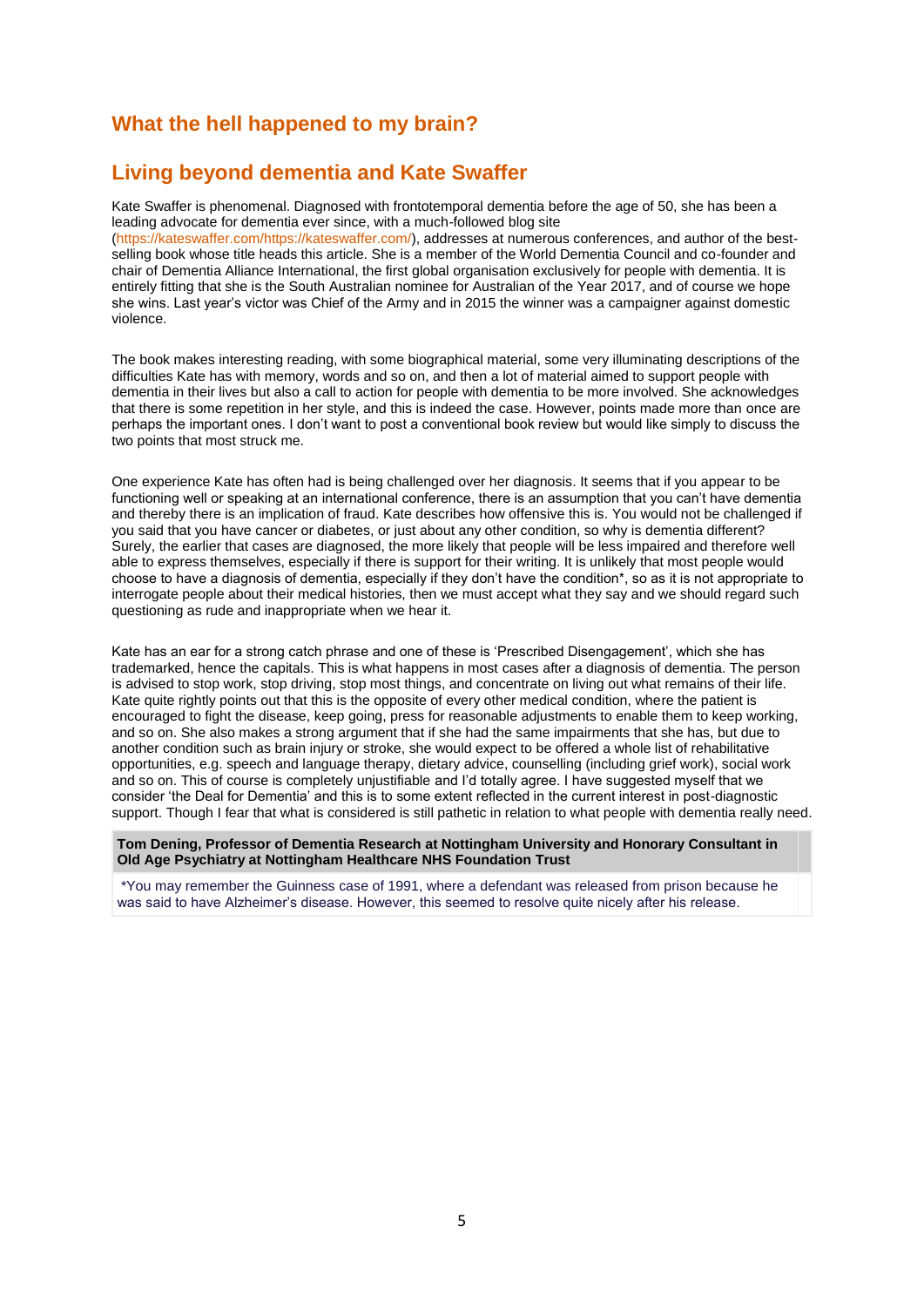### **What the hell happened to my brain?**

## **Living beyond dementia and Kate Swaffer**

Kate Swaffer is phenomenal. Diagnosed with frontotemporal dementia before the age of 50, she has been a leading advocate for dementia ever since, with a much-followed blog site

[\(https://kateswaffer.com/https://kateswaffer.com/\)](https://kateswaffer.com/https:/kateswaffer.com/), addresses at numerous conferences, and author of the bestselling book whose title heads this article. She is a member of the World Dementia Council and co-founder and chair of Dementia Alliance International, the first global organisation exclusively for people with dementia. It is entirely fitting that she is the South Australian nominee for Australian of the Year 2017, and of course we hope she wins. Last year's victor was Chief of the Army and in 2015 the winner was a campaigner against domestic violence.

The book makes interesting reading, with some biographical material, some very illuminating descriptions of the difficulties Kate has with memory, words and so on, and then a lot of material aimed to support people with dementia in their lives but also a call to action for people with dementia to be more involved. She acknowledges that there is some repetition in her style, and this is indeed the case. However, points made more than once are perhaps the important ones. I don't want to post a conventional book review but would like simply to discuss the two points that most struck me.

One experience Kate has often had is being challenged over her diagnosis. It seems that if you appear to be functioning well or speaking at an international conference, there is an assumption that you can't have dementia and thereby there is an implication of fraud. Kate describes how offensive this is. You would not be challenged if you said that you have cancer or diabetes, or just about any other condition, so why is dementia different? Surely, the earlier that cases are diagnosed, the more likely that people will be less impaired and therefore well able to express themselves, especially if there is support for their writing. It is unlikely that most people would choose to have a diagnosis of dementia, especially if they don't have the condition\*, so as it is not appropriate to interrogate people about their medical histories, then we must accept what they say and we should regard such questioning as rude and inappropriate when we hear it.

Kate has an ear for a strong catch phrase and one of these is 'Prescribed Disengagement', which she has trademarked, hence the capitals. This is what happens in most cases after a diagnosis of dementia. The person is advised to stop work, stop driving, stop most things, and concentrate on living out what remains of their life. Kate quite rightly points out that this is the opposite of every other medical condition, where the patient is encouraged to fight the disease, keep going, press for reasonable adjustments to enable them to keep working, and so on. She also makes a strong argument that if she had the same impairments that she has, but due to another condition such as brain injury or stroke, she would expect to be offered a whole list of rehabilitative opportunities, e.g. speech and language therapy, dietary advice, counselling (including grief work), social work and so on. This of course is completely unjustifiable and I'd totally agree. I have suggested myself that we consider 'the Deal for Dementia' and this is to some extent reflected in the current interest in post-diagnostic support. Though I fear that what is considered is still pathetic in relation to what people with dementia really need.

**Tom Dening, Professor of Dementia Research at Nottingham University and Honorary Consultant in Old Age Psychiatry at Nottingham Healthcare NHS Foundation Trust** 

\*You may remember the Guinness case of 1991, where a defendant was released from prison because he was said to have Alzheimer's disease. However, this seemed to resolve quite nicely after his release.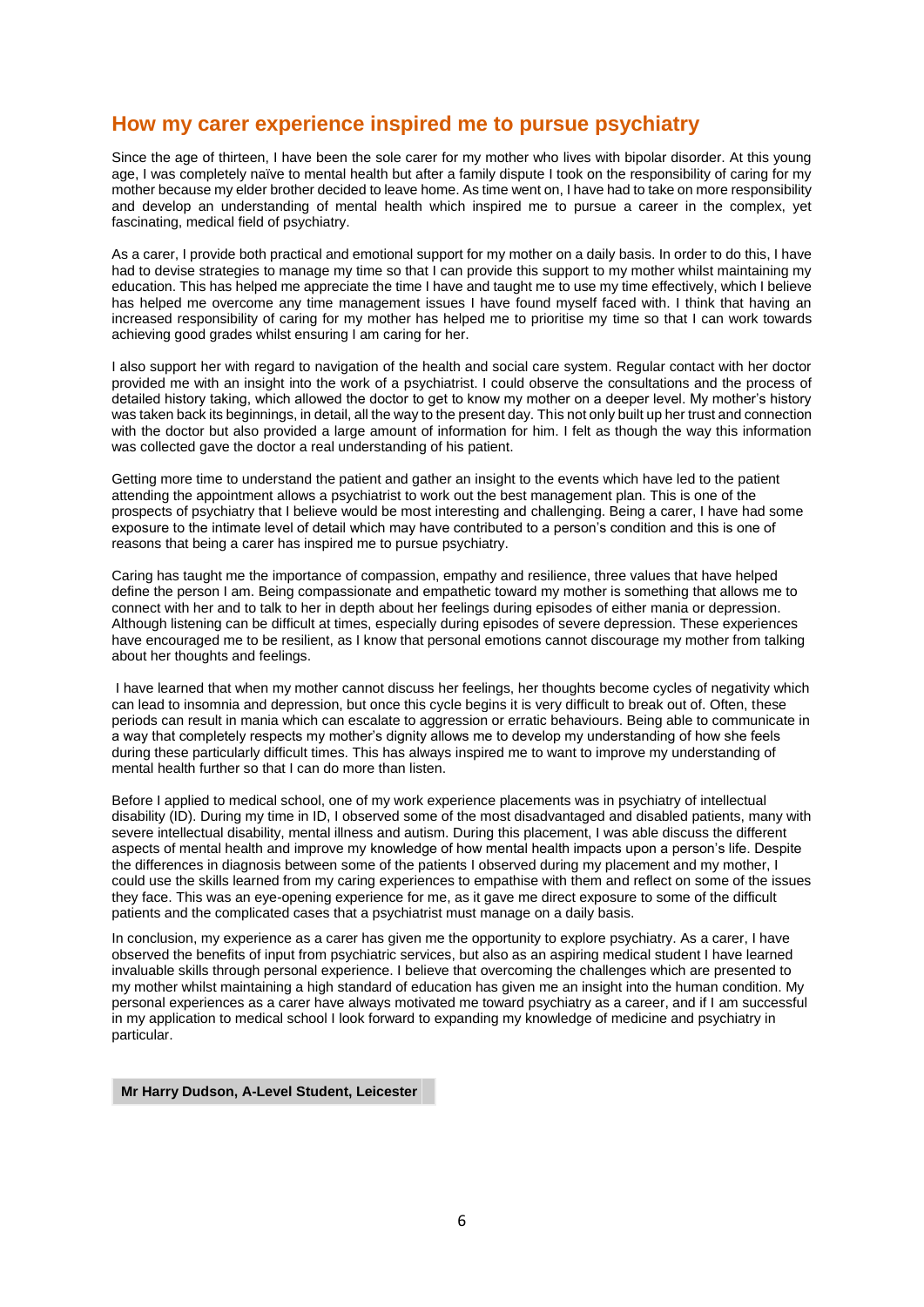### **How my carer experience inspired me to pursue psychiatry**

Since the age of thirteen, I have been the sole carer for my mother who lives with bipolar disorder. At this young age, I was completely naïve to mental health but after a family dispute I took on the responsibility of caring for my mother because my elder brother decided to leave home. As time went on, I have had to take on more responsibility and develop an understanding of mental health which inspired me to pursue a career in the complex, yet fascinating, medical field of psychiatry.

As a carer, I provide both practical and emotional support for my mother on a daily basis. In order to do this, I have had to devise strategies to manage my time so that I can provide this support to my mother whilst maintaining my education. This has helped me appreciate the time I have and taught me to use my time effectively, which I believe has helped me overcome any time management issues I have found myself faced with. I think that having an increased responsibility of caring for my mother has helped me to prioritise my time so that I can work towards achieving good grades whilst ensuring I am caring for her.

I also support her with regard to navigation of the health and social care system. Regular contact with her doctor provided me with an insight into the work of a psychiatrist. I could observe the consultations and the process of detailed history taking, which allowed the doctor to get to know my mother on a deeper level. My mother's history was taken back its beginnings, in detail, all the way to the present day. This not only built up her trust and connection with the doctor but also provided a large amount of information for him. I felt as though the way this information was collected gave the doctor a real understanding of his patient.

Getting more time to understand the patient and gather an insight to the events which have led to the patient attending the appointment allows a psychiatrist to work out the best management plan. This is one of the prospects of psychiatry that I believe would be most interesting and challenging. Being a carer, I have had some exposure to the intimate level of detail which may have contributed to a person's condition and this is one of reasons that being a carer has inspired me to pursue psychiatry.

Caring has taught me the importance of compassion, empathy and resilience, three values that have helped define the person I am. Being compassionate and empathetic toward my mother is something that allows me to connect with her and to talk to her in depth about her feelings during episodes of either mania or depression. Although listening can be difficult at times, especially during episodes of severe depression. These experiences have encouraged me to be resilient, as I know that personal emotions cannot discourage my mother from talking about her thoughts and feelings.

I have learned that when my mother cannot discuss her feelings, her thoughts become cycles of negativity which can lead to insomnia and depression, but once this cycle begins it is very difficult to break out of. Often, these periods can result in mania which can escalate to aggression or erratic behaviours. Being able to communicate in a way that completely respects my mother's dignity allows me to develop my understanding of how she feels during these particularly difficult times. This has always inspired me to want to improve my understanding of mental health further so that I can do more than listen.

Before I applied to medical school, one of my work experience placements was in psychiatry of intellectual disability (ID). During my time in ID, I observed some of the most disadvantaged and disabled patients, many with severe intellectual disability, mental illness and autism. During this placement, I was able discuss the different aspects of mental health and improve my knowledge of how mental health impacts upon a person's life. Despite the differences in diagnosis between some of the patients I observed during my placement and my mother, I could use the skills learned from my caring experiences to empathise with them and reflect on some of the issues they face. This was an eye-opening experience for me, as it gave me direct exposure to some of the difficult patients and the complicated cases that a psychiatrist must manage on a daily basis.

In conclusion, my experience as a carer has given me the opportunity to explore psychiatry. As a carer, I have observed the benefits of input from psychiatric services, but also as an aspiring medical student I have learned invaluable skills through personal experience. I believe that overcoming the challenges which are presented to my mother whilst maintaining a high standard of education has given me an insight into the human condition. My personal experiences as a carer have always motivated me toward psychiatry as a career, and if I am successful in my application to medical school I look forward to expanding my knowledge of medicine and psychiatry in particular.

**Mr Harry Dudson, A-Level Student, Leicester**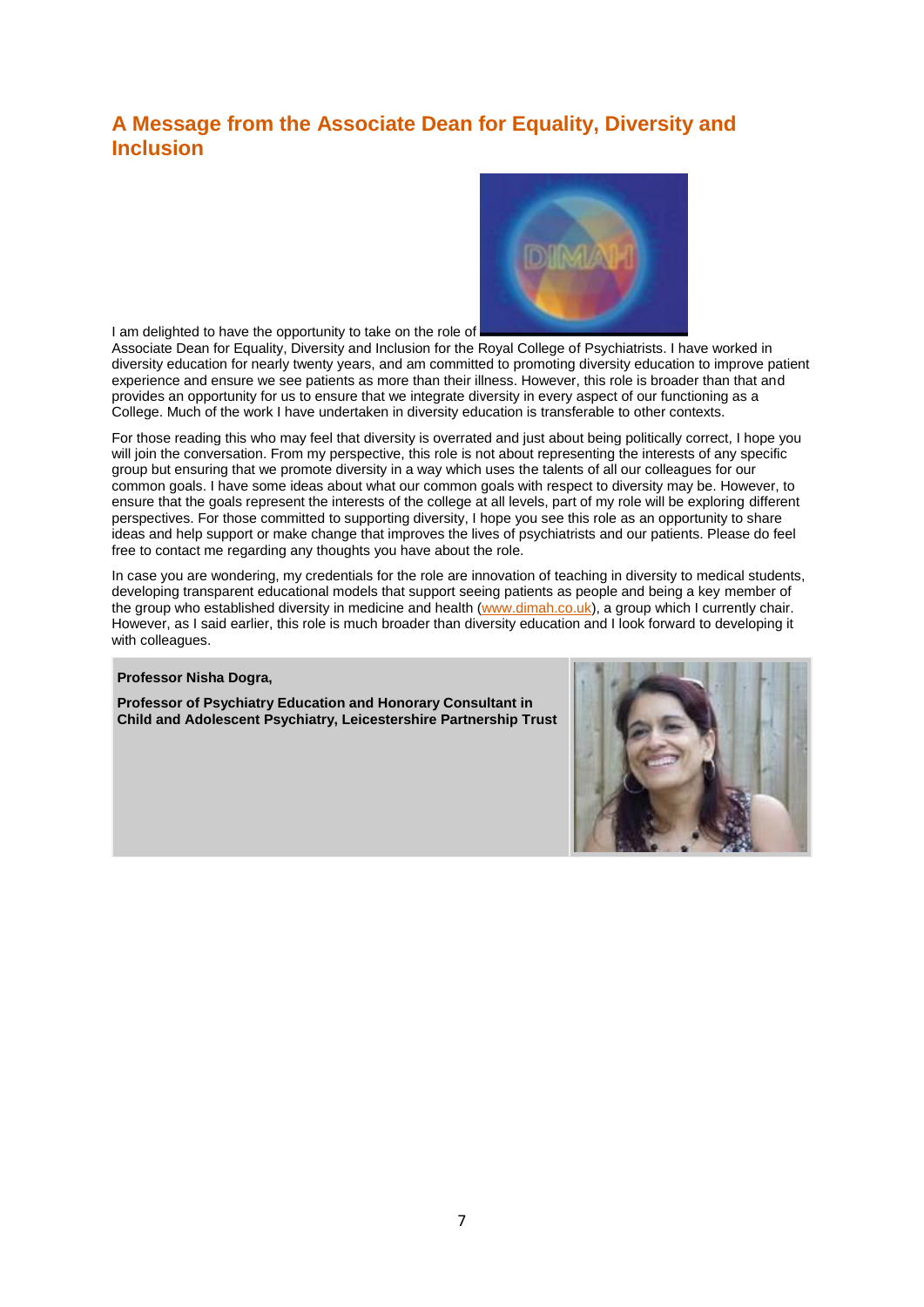## **A Message from the Associate Dean for Equality, Diversity and Inclusion**



I am delighted to have the opportunity to take on the role of

Associate Dean for Equality, Diversity and Inclusion for the Royal College of Psychiatrists. I have worked in diversity education for nearly twenty years, and am committed to promoting diversity education to improve patient experience and ensure we see patients as more than their illness. However, this role is broader than that and provides an opportunity for us to ensure that we integrate diversity in every aspect of our functioning as a College. Much of the work I have undertaken in diversity education is transferable to other contexts.

For those reading this who may feel that diversity is overrated and just about being politically correct, I hope you will join the conversation. From my perspective, this role is not about representing the interests of any specific group but ensuring that we promote diversity in a way which uses the talents of all our colleagues for our common goals. I have some ideas about what our common goals with respect to diversity may be. However, to ensure that the goals represent the interests of the college at all levels, part of my role will be exploring different perspectives. For those committed to supporting diversity, I hope you see this role as an opportunity to share ideas and help support or make change that improves the lives of psychiatrists and our patients. Please do feel free to contact me regarding any thoughts you have about the role.

In case you are wondering, my credentials for the role are innovation of teaching in diversity to medical students, developing transparent educational models that support seeing patients as people and being a key member of the group who established diversity in medicine and health [\(www.dimah.co.uk\)](http://www.dimah.co.uk/), a group which I currently chair. However, as I said earlier, this role is much broader than diversity education and I look forward to developing it with colleagues.

#### **Professor Nisha Dogra,**

**Professor of Psychiatry Education and Honorary Consultant in Child and Adolescent Psychiatry, Leicestershire Partnership Trust**

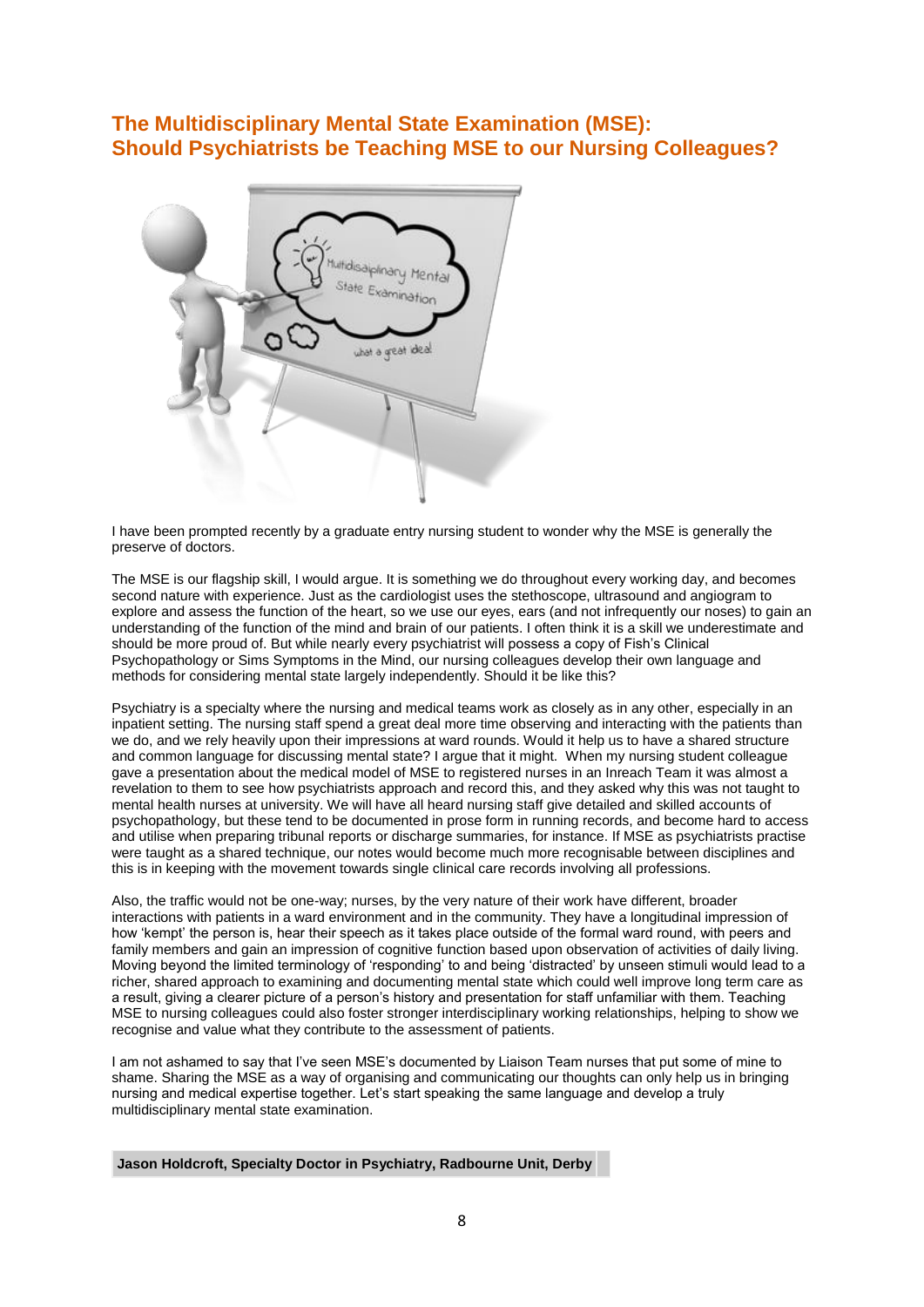### **The Multidisciplinary Mental State Examination (MSE): Should Psychiatrists be Teaching MSE to our Nursing Colleagues?**



I have been prompted recently by a graduate entry nursing student to wonder why the MSE is generally the preserve of doctors.

The MSE is our flagship skill, I would argue. It is something we do throughout every working day, and becomes second nature with experience. Just as the cardiologist uses the stethoscope, ultrasound and angiogram to explore and assess the function of the heart, so we use our eyes, ears (and not infrequently our noses) to gain an understanding of the function of the mind and brain of our patients. I often think it is a skill we underestimate and should be more proud of. But while nearly every psychiatrist will possess a copy of Fish's Clinical Psychopathology or Sims Symptoms in the Mind, our nursing colleagues develop their own language and methods for considering mental state largely independently. Should it be like this?

Psychiatry is a specialty where the nursing and medical teams work as closely as in any other, especially in an inpatient setting. The nursing staff spend a great deal more time observing and interacting with the patients than we do, and we rely heavily upon their impressions at ward rounds. Would it help us to have a shared structure and common language for discussing mental state? I argue that it might. When my nursing student colleague gave a presentation about the medical model of MSE to registered nurses in an Inreach Team it was almost a revelation to them to see how psychiatrists approach and record this, and they asked why this was not taught to mental health nurses at university. We will have all heard nursing staff give detailed and skilled accounts of psychopathology, but these tend to be documented in prose form in running records, and become hard to access and utilise when preparing tribunal reports or discharge summaries, for instance. If MSE as psychiatrists practise were taught as a shared technique, our notes would become much more recognisable between disciplines and this is in keeping with the movement towards single clinical care records involving all professions.

Also, the traffic would not be one-way; nurses, by the very nature of their work have different, broader interactions with patients in a ward environment and in the community. They have a longitudinal impression of how 'kempt' the person is, hear their speech as it takes place outside of the formal ward round, with peers and family members and gain an impression of cognitive function based upon observation of activities of daily living. Moving beyond the limited terminology of 'responding' to and being 'distracted' by unseen stimuli would lead to a richer, shared approach to examining and documenting mental state which could well improve long term care as a result, giving a clearer picture of a person's history and presentation for staff unfamiliar with them. Teaching MSE to nursing colleagues could also foster stronger interdisciplinary working relationships, helping to show we recognise and value what they contribute to the assessment of patients.

I am not ashamed to say that I've seen MSE's documented by Liaison Team nurses that put some of mine to shame. Sharing the MSE as a way of organising and communicating our thoughts can only help us in bringing nursing and medical expertise together. Let's start speaking the same language and develop a truly multidisciplinary mental state examination.

**Jason Holdcroft, Specialty Doctor in Psychiatry, Radbourne Unit, Derby**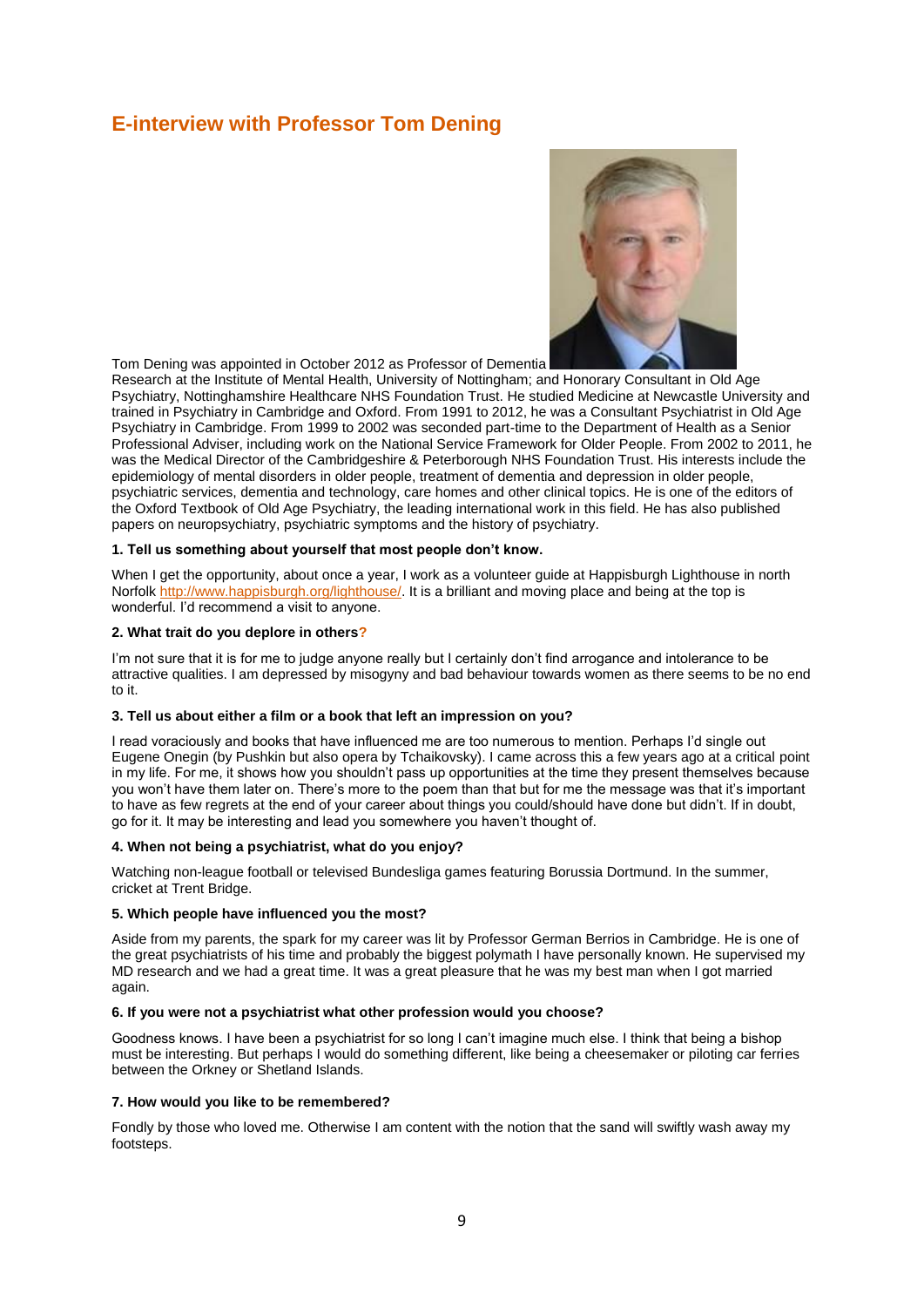## **E-interview with Professor Tom Dening**



Tom Dening was appointed in October 2012 as Professor of Dementia

Research at the Institute of Mental Health, University of Nottingham; and Honorary Consultant in Old Age Psychiatry, Nottinghamshire Healthcare NHS Foundation Trust. He studied Medicine at Newcastle University and trained in Psychiatry in Cambridge and Oxford. From 1991 to 2012, he was a Consultant Psychiatrist in Old Age Psychiatry in Cambridge. From 1999 to 2002 was seconded part-time to the Department of Health as a Senior Professional Adviser, including work on the National Service Framework for Older People. From 2002 to 2011, he was the Medical Director of the Cambridgeshire & Peterborough NHS Foundation Trust. His interests include the epidemiology of mental disorders in older people, treatment of dementia and depression in older people, psychiatric services, dementia and technology, care homes and other clinical topics. He is one of the editors of the Oxford Textbook of Old Age Psychiatry, the leading international work in this field. He has also published papers on neuropsychiatry, psychiatric symptoms and the history of psychiatry.

#### **1. Tell us something about yourself that most people don't know.**

When I get the opportunity, about once a year, I work as a volunteer guide at Happisburgh Lighthouse in north Norfolk [http://www.happisburgh.org/lighthouse/.](http://www.happisburgh.org/lighthouse/) It is a brilliant and moving place and being at the top is wonderful. I'd recommend a visit to anyone.

#### **2. What trait do you deplore in other[s?](http://www.happisburgh.org/lighthouse/)**

I'm not sure that it is for me to judge anyone really but I certainly don't find arrogance and intolerance to be attractive qualities. I am depressed by misogyny and bad behaviour towards women as there seems to be no end to it.

#### **3. Tell us about either a film or a book that left an impression on you?**

I read voraciously and books that have influenced me are too numerous to mention. Perhaps I'd single out Eugene Onegin (by Pushkin but also opera by Tchaikovsky). I came across this a few years ago at a critical point in my life. For me, it shows how you shouldn't pass up opportunities at the time they present themselves because you won't have them later on. There's more to the poem than that but for me the message was that it's important to have as few regrets at the end of your career about things you could/should have done but didn't. If in doubt, go for it. It may be interesting and lead you somewhere you haven't thought of.

#### **4. When not being a psychiatrist, what do you enjoy?**

Watching non-league football or televised Bundesliga games featuring Borussia Dortmund. In the summer, cricket at Trent Bridge.

#### **5. Which people have influenced you the most?**

Aside from my parents, the spark for my career was lit by Professor German Berrios in Cambridge. He is one of the great psychiatrists of his time and probably the biggest polymath I have personally known. He supervised my MD research and we had a great time. It was a great pleasure that he was my best man when I got married again.

#### **6. If you were not a psychiatrist what other profession would you choose?**

Goodness knows. I have been a psychiatrist for so long I can't imagine much else. I think that being a bishop must be interesting. But perhaps I would do something different, like being a cheesemaker or piloting car ferries between the Orkney or Shetland Islands.

#### **7. How would you like to be remembered?**

Fondly by those who loved me. Otherwise I am content with the notion that the sand will swiftly wash away my footsteps.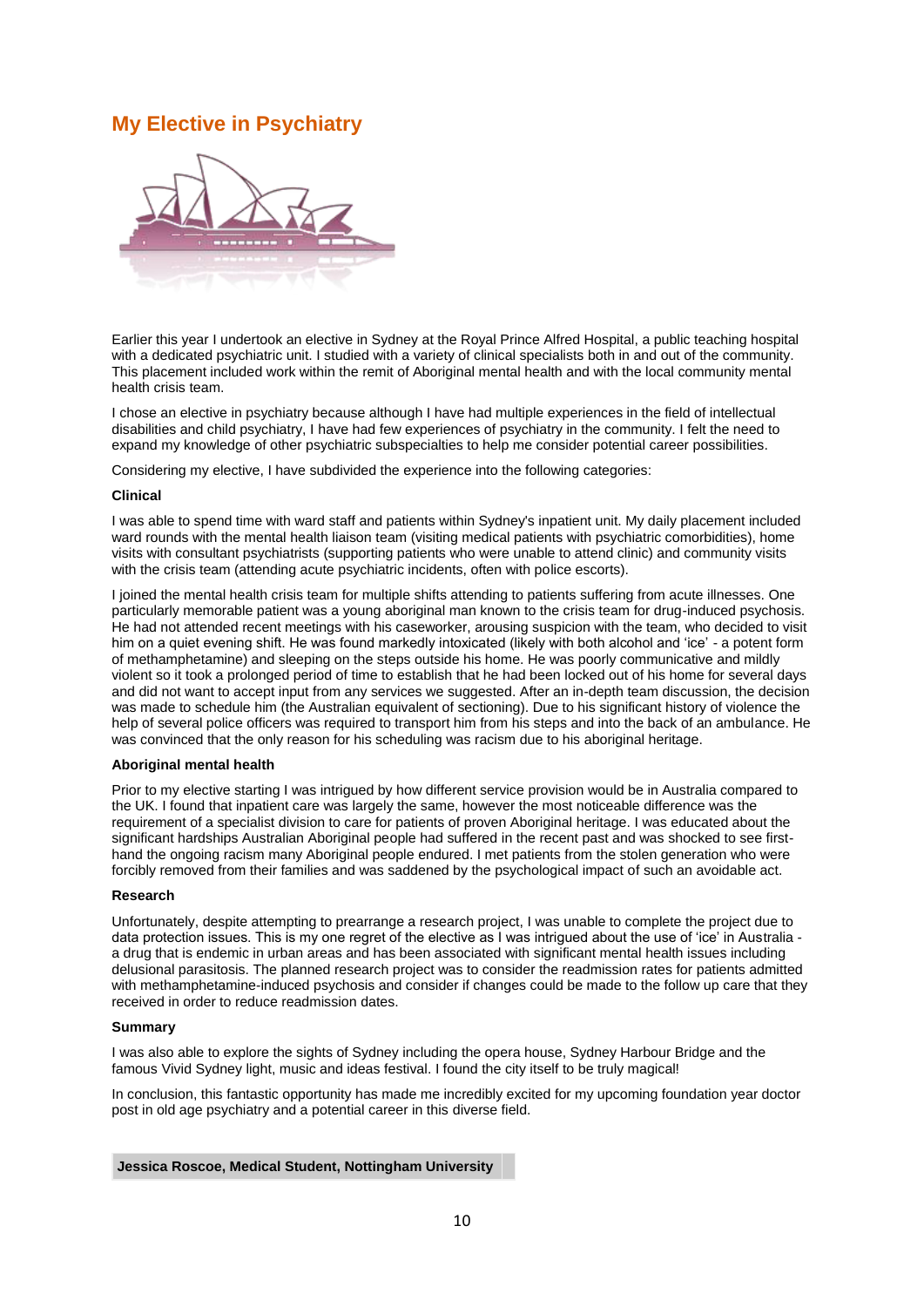## **My Elective in Psychiatry**



Earlier this year I undertook an elective in Sydney at the Royal Prince Alfred Hospital, a public teaching hospital with a dedicated psychiatric unit. I studied with a variety of clinical specialists both in and out of the community. This placement included work within the remit of Aboriginal mental health and with the local community mental health crisis team.

I chose an elective in psychiatry because although I have had multiple experiences in the field of intellectual disabilities and child psychiatry, I have had few experiences of psychiatry in the community. I felt the need to expand my knowledge of other psychiatric subspecialties to help me consider potential career possibilities.

Considering my elective, I have subdivided the experience into the following categories:

#### **Clinical**

I was able to spend time with ward staff and patients within Sydney's inpatient unit. My daily placement included ward rounds with the mental health liaison team (visiting medical patients with psychiatric comorbidities), home visits with consultant psychiatrists (supporting patients who were unable to attend clinic) and community visits with the crisis team (attending acute psychiatric incidents, often with police escorts).

I joined the mental health crisis team for multiple shifts attending to patients suffering from acute illnesses. One particularly memorable patient was a young aboriginal man known to the crisis team for drug-induced psychosis. He had not attended recent meetings with his caseworker, arousing suspicion with the team, who decided to visit him on a quiet evening shift. He was found markedly intoxicated (likely with both alcohol and 'ice' - a potent form of methamphetamine) and sleeping on the steps outside his home. He was poorly communicative and mildly violent so it took a prolonged period of time to establish that he had been locked out of his home for several days and did not want to accept input from any services we suggested. After an in-depth team discussion, the decision was made to schedule him (the Australian equivalent of sectioning). Due to his significant history of violence the help of several police officers was required to transport him from his steps and into the back of an ambulance. He was convinced that the only reason for his scheduling was racism due to his aboriginal heritage.

#### **Aboriginal mental health**

Prior to my elective starting I was intrigued by how different service provision would be in Australia compared to the UK. I found that inpatient care was largely the same, however the most noticeable difference was the requirement of a specialist division to care for patients of proven Aboriginal heritage. I was educated about the significant hardships Australian Aboriginal people had suffered in the recent past and was shocked to see firsthand the ongoing racism many Aboriginal people endured. I met patients from the stolen generation who were forcibly removed from their families and was saddened by the psychological impact of such an avoidable act.

#### **Research**

Unfortunately, despite attempting to prearrange a research project, I was unable to complete the project due to data protection issues. This is my one regret of the elective as I was intrigued about the use of 'ice' in Australia a drug that is endemic in urban areas and has been associated with significant mental health issues including delusional parasitosis. The planned research project was to consider the readmission rates for patients admitted with methamphetamine-induced psychosis and consider if changes could be made to the follow up care that they received in order to reduce readmission dates.

#### **Summary**

I was also able to explore the sights of Sydney including the opera house, Sydney Harbour Bridge and the famous Vivid Sydney light, music and ideas festival. I found the city itself to be truly magical!

In conclusion, this fantastic opportunity has made me incredibly excited for my upcoming foundation year doctor post in old age psychiatry and a potential career in this diverse field.

**Jessica Roscoe, Medical Student, Nottingham University**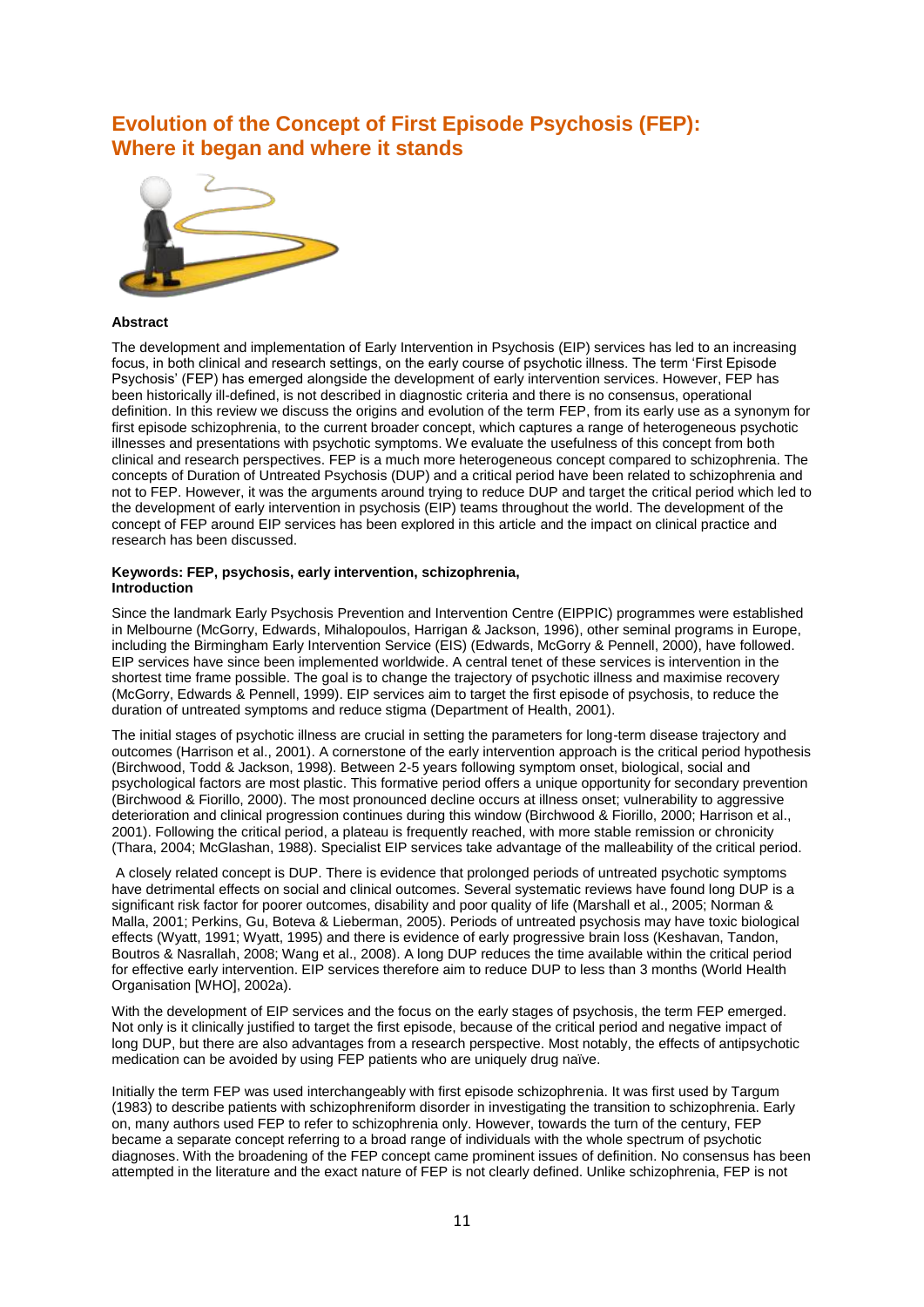## **Evolution of the Concept of First Episode Psychosis (FEP): Where it began and where it stands**



#### **Abstract**

The development and implementation of Early Intervention in Psychosis (EIP) services has led to an increasing focus, in both clinical and research settings, on the early course of psychotic illness. The term 'First Episode Psychosis' (FEP) has emerged alongside the development of early intervention services. However, FEP has been historically ill-defined, is not described in diagnostic criteria and there is no consensus, operational definition. In this review we discuss the origins and evolution of the term FEP, from its early use as a synonym for first episode schizophrenia, to the current broader concept, which captures a range of heterogeneous psychotic illnesses and presentations with psychotic symptoms. We evaluate the usefulness of this concept from both clinical and research perspectives. FEP is a much more heterogeneous concept compared to schizophrenia. The concepts of Duration of Untreated Psychosis (DUP) and a critical period have been related to schizophrenia and not to FEP. However, it was the arguments around trying to reduce DUP and target the critical period which led to the development of early intervention in psychosis (EIP) teams throughout the world. The development of the concept of FEP around EIP services has been explored in this article and the impact on clinical practice and research has been discussed.

#### **Keywords: FEP, psychosis, early intervention, schizophrenia, Introduction**

Since the landmark Early Psychosis Prevention and Intervention Centre (EIPPIC) programmes were established in Melbourne (McGorry, Edwards, Mihalopoulos, Harrigan & Jackson, 1996), other seminal programs in Europe, including the Birmingham Early Intervention Service (EIS) (Edwards, McGorry & Pennell, 2000), have followed. EIP services have since been implemented worldwide. A central tenet of these services is intervention in the shortest time frame possible. The goal is to change the trajectory of psychotic illness and maximise recovery (McGorry, Edwards & Pennell, 1999). EIP services aim to target the first episode of psychosis, to reduce the duration of untreated symptoms and reduce stigma (Department of Health, 2001).

The initial stages of psychotic illness are crucial in setting the parameters for long-term disease trajectory and outcomes (Harrison et al., 2001). A cornerstone of the early intervention approach is the critical period hypothesis (Birchwood, Todd & Jackson, 1998). Between 2-5 years following symptom onset, biological, social and psychological factors are most plastic. This formative period offers a unique opportunity for secondary prevention (Birchwood & Fiorillo, 2000). The most pronounced decline occurs at illness onset; vulnerability to aggressive deterioration and clinical progression continues during this window (Birchwood & Fiorillo, 2000; Harrison et al., 2001). Following the critical period, a plateau is frequently reached, with more stable remission or chronicity (Thara, 2004; McGlashan, 1988). Specialist EIP services take advantage of the malleability of the critical period.

A closely related concept is DUP. There is evidence that prolonged periods of untreated psychotic symptoms have detrimental effects on social and clinical outcomes. Several systematic reviews have found long DUP is a significant risk factor for poorer outcomes, disability and poor quality of life (Marshall et al., 2005; Norman & Malla, 2001; Perkins, Gu, Boteva & Lieberman, 2005). Periods of untreated psychosis may have toxic biological effects (Wyatt, 1991; Wyatt, 1995) and there is evidence of early progressive brain loss (Keshavan, Tandon, Boutros & Nasrallah, 2008; Wang et al., 2008). A long DUP reduces the time available within the critical period for effective early intervention. EIP services therefore aim to reduce DUP to less than 3 months (World Health Organisation [WHO], 2002a).

With the development of EIP services and the focus on the early stages of psychosis, the term FEP emerged. Not only is it clinically justified to target the first episode, because of the critical period and negative impact of long DUP, but there are also advantages from a research perspective. Most notably, the effects of antipsychotic medication can be avoided by using FEP patients who are uniquely drug naïve.

Initially the term FEP was used interchangeably with first episode schizophrenia. It was first used by Targum (1983) to describe patients with schizophreniform disorder in investigating the transition to schizophrenia. Early on, many authors used FEP to refer to schizophrenia only. However, towards the turn of the century, FEP became a separate concept referring to a broad range of individuals with the whole spectrum of psychotic diagnoses. With the broadening of the FEP concept came prominent issues of definition. No consensus has been attempted in the literature and the exact nature of FEP is not clearly defined. Unlike schizophrenia, FEP is not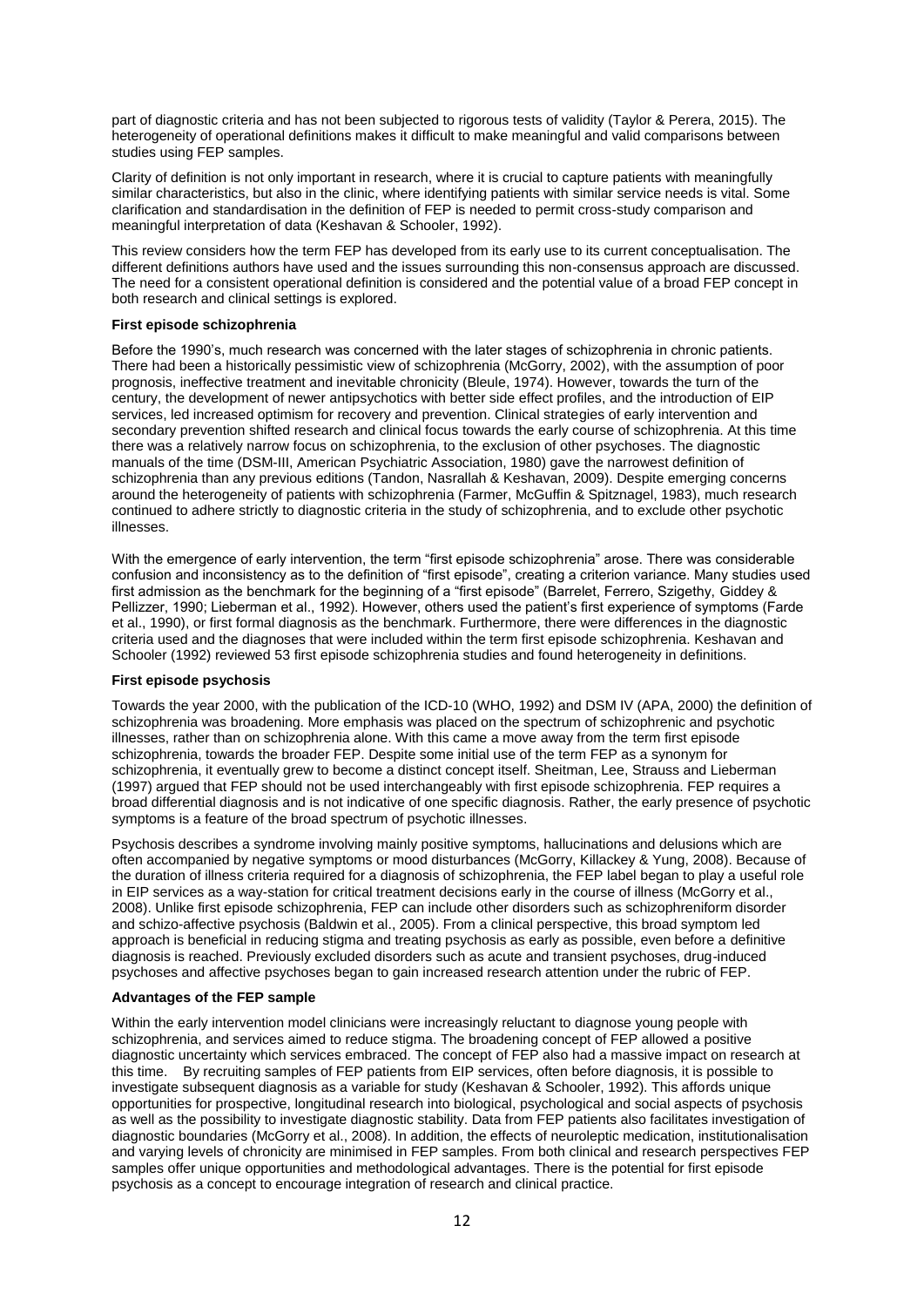part of diagnostic criteria and has not been subjected to rigorous tests of validity (Taylor & Perera, 2015). The heterogeneity of operational definitions makes it difficult to make meaningful and valid comparisons between studies using FEP samples.

Clarity of definition is not only important in research, where it is crucial to capture patients with meaningfully similar characteristics, but also in the clinic, where identifying patients with similar service needs is vital. Some clarification and standardisation in the definition of FEP is needed to permit cross-study comparison and meaningful interpretation of data (Keshavan & Schooler, 1992).

This review considers how the term FEP has developed from its early use to its current conceptualisation. The different definitions authors have used and the issues surrounding this non-consensus approach are discussed. The need for a consistent operational definition is considered and the potential value of a broad FEP concept in both research and clinical settings is explored.

#### **First episode schizophrenia**

Before the 1990's, much research was concerned with the later stages of schizophrenia in chronic patients. There had been a historically pessimistic view of schizophrenia (McGorry, 2002), with the assumption of poor prognosis, ineffective treatment and inevitable chronicity (Bleule, 1974). However, towards the turn of the century, the development of newer antipsychotics with better side effect profiles, and the introduction of EIP services, led increased optimism for recovery and prevention. Clinical strategies of early intervention and secondary prevention shifted research and clinical focus towards the early course of schizophrenia. At this time there was a relatively narrow focus on schizophrenia, to the exclusion of other psychoses. The diagnostic manuals of the time (DSM-III, American Psychiatric Association, 1980) gave the narrowest definition of schizophrenia than any previous editions (Tandon, Nasrallah & Keshavan, 2009). Despite emerging concerns around the heterogeneity of patients with schizophrenia (Farmer, McGuffin & Spitznagel, 1983), much research continued to adhere strictly to diagnostic criteria in the study of schizophrenia, and to exclude other psychotic illnesses.

With the emergence of early intervention, the term "first episode schizophrenia" arose. There was considerable confusion and inconsistency as to the definition of "first episode", creating a criterion variance. Many studies used first admission as the benchmark for the beginning of a "first episode" (Barrelet, Ferrero, Szigethy, Giddey & Pellizzer, 1990; Lieberman et al., 1992). However, others used the patient's first experience of symptoms (Farde et al., 1990), or first formal diagnosis as the benchmark. Furthermore, there were differences in the diagnostic criteria used and the diagnoses that were included within the term first episode schizophrenia. Keshavan and Schooler (1992) reviewed 53 first episode schizophrenia studies and found heterogeneity in definitions.

#### **First episode psychosis**

Towards the year 2000, with the publication of the ICD-10 (WHO, 1992) and DSM IV (APA, 2000) the definition of schizophrenia was broadening. More emphasis was placed on the spectrum of schizophrenic and psychotic illnesses, rather than on schizophrenia alone. With this came a move away from the term first episode schizophrenia, towards the broader FEP. Despite some initial use of the term FEP as a synonym for schizophrenia, it eventually grew to become a distinct concept itself. Sheitman, Lee, Strauss and Lieberman (1997) argued that FEP should not be used interchangeably with first episode schizophrenia. FEP requires a broad differential diagnosis and is not indicative of one specific diagnosis. Rather, the early presence of psychotic symptoms is a feature of the broad spectrum of psychotic illnesses.

Psychosis describes a syndrome involving mainly positive symptoms, hallucinations and delusions which are often accompanied by negative symptoms or mood disturbances (McGorry, Killackey & Yung, 2008). Because of the duration of illness criteria required for a diagnosis of schizophrenia, the FEP label began to play a useful role in EIP services as a way-station for critical treatment decisions early in the course of illness (McGorry et al., 2008). Unlike first episode schizophrenia, FEP can include other disorders such as schizophreniform disorder and schizo-affective psychosis (Baldwin et al., 2005). From a clinical perspective, this broad symptom led approach is beneficial in reducing stigma and treating psychosis as early as possible, even before a definitive diagnosis is reached. Previously excluded disorders such as acute and transient psychoses, drug-induced psychoses and affective psychoses began to gain increased research attention under the rubric of FEP.

#### **Advantages of the FEP sample**

Within the early intervention model clinicians were increasingly reluctant to diagnose young people with schizophrenia, and services aimed to reduce stigma. The broadening concept of FEP allowed a positive diagnostic uncertainty which services embraced. The concept of FEP also had a massive impact on research at this time. By recruiting samples of FEP patients from EIP services, often before diagnosis, it is possible to investigate subsequent diagnosis as a variable for study (Keshavan & Schooler, 1992). This affords unique opportunities for prospective, longitudinal research into biological, psychological and social aspects of psychosis as well as the possibility to investigate diagnostic stability. Data from FEP patients also facilitates investigation of diagnostic boundaries (McGorry et al., 2008). In addition, the effects of neuroleptic medication, institutionalisation and varying levels of chronicity are minimised in FEP samples. From both clinical and research perspectives FEP samples offer unique opportunities and methodological advantages. There is the potential for first episode psychosis as a concept to encourage integration of research and clinical practice.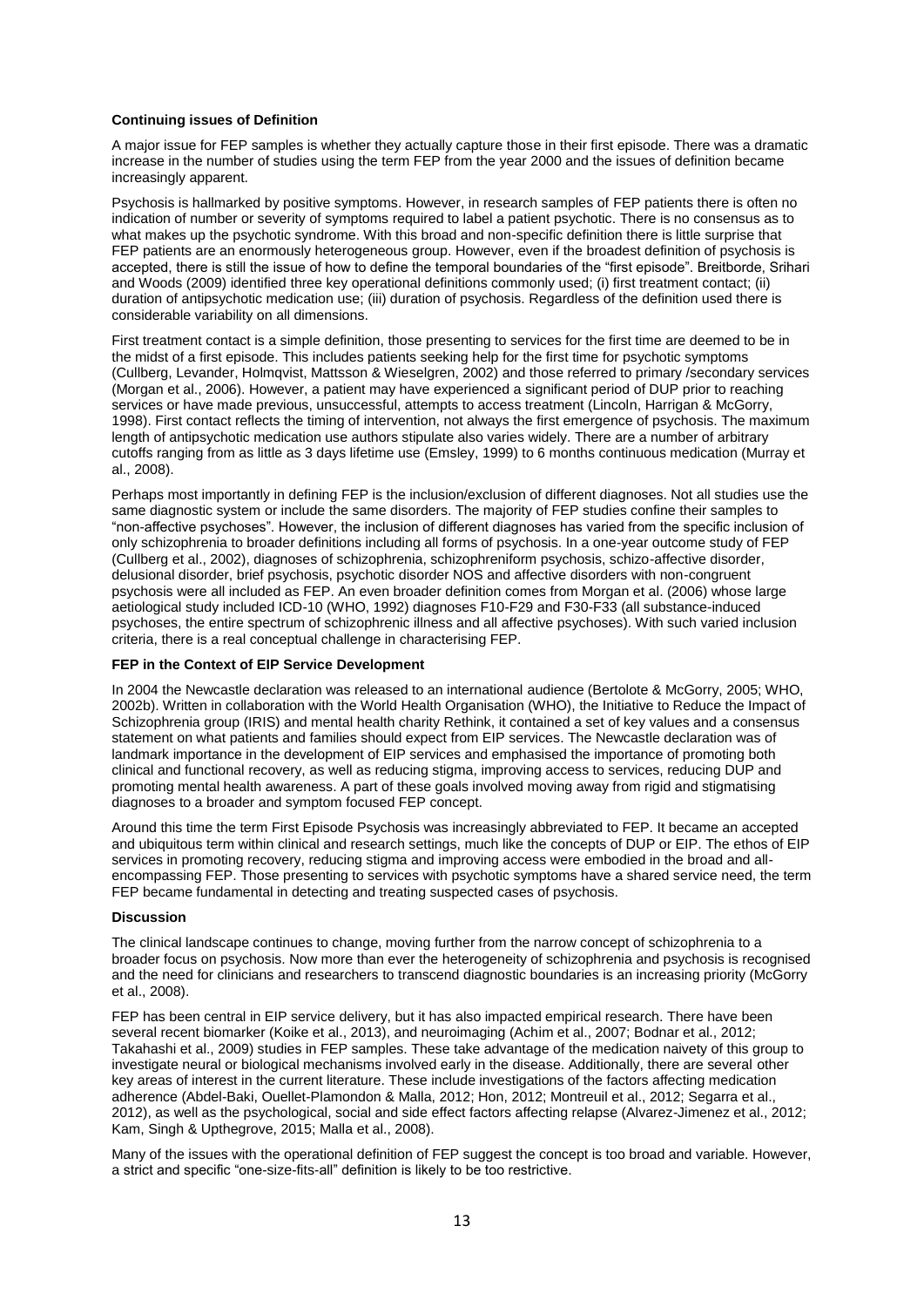#### **Continuing issues of Definition**

A major issue for FEP samples is whether they actually capture those in their first episode. There was a dramatic increase in the number of studies using the term FEP from the year 2000 and the issues of definition became increasingly apparent.

Psychosis is hallmarked by positive symptoms. However, in research samples of FEP patients there is often no indication of number or severity of symptoms required to label a patient psychotic. There is no consensus as to what makes up the psychotic syndrome. With this broad and non-specific definition there is little surprise that FEP patients are an enormously heterogeneous group. However, even if the broadest definition of psychosis is accepted, there is still the issue of how to define the temporal boundaries of the "first episode". Breitborde, Srihari and Woods (2009) identified three key operational definitions commonly used; (i) first treatment contact; (ii) duration of antipsychotic medication use; (iii) duration of psychosis. Regardless of the definition used there is considerable variability on all dimensions.

First treatment contact is a simple definition, those presenting to services for the first time are deemed to be in the midst of a first episode. This includes patients seeking help for the first time for psychotic symptoms (Cullberg, Levander, Holmqvist, Mattsson & Wieselgren, 2002) and those referred to primary /secondary services (Morgan et al., 2006). However, a patient may have experienced a significant period of DUP prior to reaching services or have made previous, unsuccessful, attempts to access treatment (Lincoln, Harrigan & McGorry, 1998). First contact reflects the timing of intervention, not always the first emergence of psychosis. The maximum length of antipsychotic medication use authors stipulate also varies widely. There are a number of arbitrary cutoffs ranging from as little as 3 days lifetime use (Emsley, 1999) to 6 months continuous medication (Murray et al., 2008).

Perhaps most importantly in defining FEP is the inclusion/exclusion of different diagnoses. Not all studies use the same diagnostic system or include the same disorders. The majority of FEP studies confine their samples to "non-affective psychoses". However, the inclusion of different diagnoses has varied from the specific inclusion of only schizophrenia to broader definitions including all forms of psychosis. In a one-year outcome study of FEP (Cullberg et al., 2002), diagnoses of schizophrenia, schizophreniform psychosis, schizo-affective disorder, delusional disorder, brief psychosis, psychotic disorder NOS and affective disorders with non-congruent psychosis were all included as FEP. An even broader definition comes from Morgan et al. (2006) whose large aetiological study included ICD-10 (WHO, 1992) diagnoses F10-F29 and F30-F33 (all substance-induced psychoses, the entire spectrum of schizophrenic illness and all affective psychoses). With such varied inclusion criteria, there is a real conceptual challenge in characterising FEP.

#### **FEP in the Context of EIP Service Development**

In 2004 the Newcastle declaration was released to an international audience (Bertolote & McGorry, 2005; WHO, 2002b). Written in collaboration with the World Health Organisation (WHO), the Initiative to Reduce the Impact of Schizophrenia group (IRIS) and mental health charity Rethink, it contained a set of key values and a consensus statement on what patients and families should expect from EIP services. The Newcastle declaration was of landmark importance in the development of EIP services and emphasised the importance of promoting both clinical and functional recovery, as well as reducing stigma, improving access to services, reducing DUP and promoting mental health awareness. A part of these goals involved moving away from rigid and stigmatising diagnoses to a broader and symptom focused FEP concept.

Around this time the term First Episode Psychosis was increasingly abbreviated to FEP. It became an accepted and ubiquitous term within clinical and research settings, much like the concepts of DUP or EIP. The ethos of EIP services in promoting recovery, reducing stigma and improving access were embodied in the broad and allencompassing FEP. Those presenting to services with psychotic symptoms have a shared service need, the term FEP became fundamental in detecting and treating suspected cases of psychosis.

#### **Discussion**

The clinical landscape continues to change, moving further from the narrow concept of schizophrenia to a broader focus on psychosis. Now more than ever the heterogeneity of schizophrenia and psychosis is recognised and the need for clinicians and researchers to transcend diagnostic boundaries is an increasing priority (McGorry et al., 2008).

FEP has been central in EIP service delivery, but it has also impacted empirical research. There have been several recent biomarker (Koike et al., 2013), and neuroimaging (Achim et al., 2007; Bodnar et al., 2012; Takahashi et al., 2009) studies in FEP samples. These take advantage of the medication naivety of this group to investigate neural or biological mechanisms involved early in the disease. Additionally, there are several other key areas of interest in the current literature. These include investigations of the factors affecting medication adherence (Abdel-Baki, Ouellet-Plamondon & Malla, 2012; Hon, 2012; Montreuil et al., 2012; Segarra et al., 2012), as well as the psychological, social and side effect factors affecting relapse (Alvarez-Jimenez et al., 2012; Kam, Singh & Upthegrove, 2015; Malla et al., 2008).

Many of the issues with the operational definition of FEP suggest the concept is too broad and variable. However, a strict and specific "one-size-fits-all" definition is likely to be too restrictive.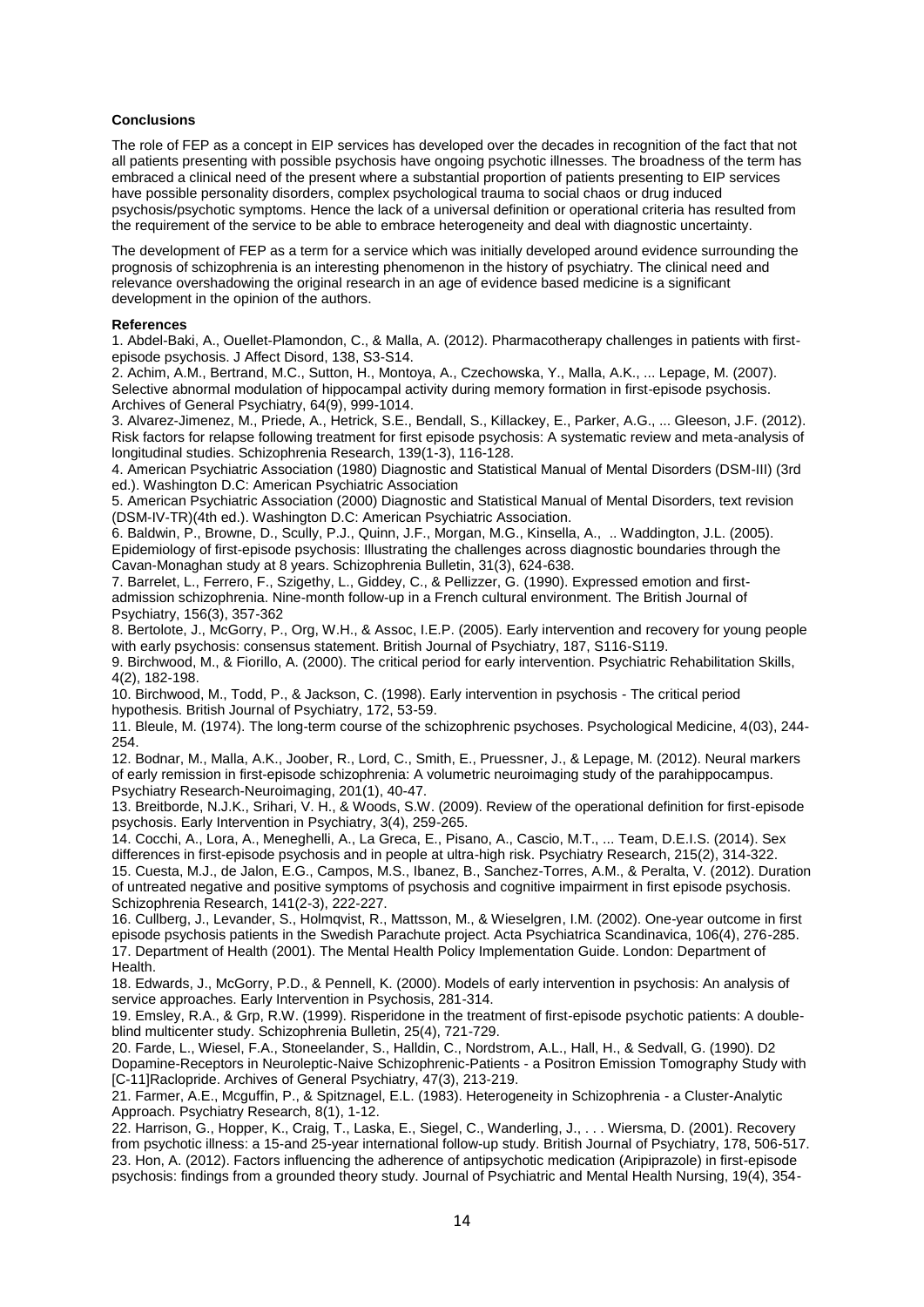#### **Conclusions**

The role of FEP as a concept in EIP services has developed over the decades in recognition of the fact that not all patients presenting with possible psychosis have ongoing psychotic illnesses. The broadness of the term has embraced a clinical need of the present where a substantial proportion of patients presenting to EIP services have possible personality disorders, complex psychological trauma to social chaos or drug induced psychosis/psychotic symptoms. Hence the lack of a universal definition or operational criteria has resulted from the requirement of the service to be able to embrace heterogeneity and deal with diagnostic uncertainty.

The development of FEP as a term for a service which was initially developed around evidence surrounding the prognosis of schizophrenia is an interesting phenomenon in the history of psychiatry. The clinical need and relevance overshadowing the original research in an age of evidence based medicine is a significant development in the opinion of the authors.

#### **References**

1. Abdel-Baki, A., Ouellet-Plamondon, C., & Malla, A. (2012). Pharmacotherapy challenges in patients with firstepisode psychosis. J Affect Disord, 138, S3-S14.

2. Achim, A.M., Bertrand, M.C., Sutton, H., Montoya, A., Czechowska, Y., Malla, A.K., ... Lepage, M. (2007). Selective abnormal modulation of hippocampal activity during memory formation in first-episode psychosis. Archives of General Psychiatry, 64(9), 999-1014.

3. Alvarez-Jimenez, M., Priede, A., Hetrick, S.E., Bendall, S., Killackey, E., Parker, A.G., ... Gleeson, J.F. (2012). Risk factors for relapse following treatment for first episode psychosis: A systematic review and meta-analysis of longitudinal studies. Schizophrenia Research, 139(1-3), 116-128.

4. American Psychiatric Association (1980) Diagnostic and Statistical Manual of Mental Disorders (DSM-III) (3rd ed.). Washington D.C: American Psychiatric Association

5. American Psychiatric Association (2000) Diagnostic and Statistical Manual of Mental Disorders, text revision (DSM-IV-TR)(4th ed.). Washington D.C: American Psychiatric Association.

6. Baldwin, P., Browne, D., Scully, P.J., Quinn, J.F., Morgan, M.G., Kinsella, A., .. Waddington, J.L. (2005). Epidemiology of first-episode psychosis: Illustrating the challenges across diagnostic boundaries through the Cavan-Monaghan study at 8 years. Schizophrenia Bulletin, 31(3), 624-638.

7. Barrelet, L., Ferrero, F., Szigethy, L., Giddey, C., & Pellizzer, G. (1990). Expressed emotion and firstadmission schizophrenia. Nine-month follow-up in a French cultural environment. The British Journal of Psychiatry, 156(3), 357-362

8. Bertolote, J., McGorry, P., Org, W.H., & Assoc, I.E.P. (2005). Early intervention and recovery for young people with early psychosis: consensus statement. British Journal of Psychiatry, 187, S116-S119.

9. Birchwood, M., & Fiorillo, A. (2000). The critical period for early intervention. Psychiatric Rehabilitation Skills, 4(2), 182-198.

10. Birchwood, M., Todd, P., & Jackson, C. (1998). Early intervention in psychosis - The critical period hypothesis. British Journal of Psychiatry, 172, 53-59.

11. Bleule, M. (1974). The long-term course of the schizophrenic psychoses. Psychological Medicine, 4(03), 244- 254.

12. Bodnar, M., Malla, A.K., Joober, R., Lord, C., Smith, E., Pruessner, J., & Lepage, M. (2012). Neural markers of early remission in first-episode schizophrenia: A volumetric neuroimaging study of the parahippocampus. Psychiatry Research-Neuroimaging, 201(1), 40-47.

13. Breitborde, N.J.K., Srihari, V. H., & Woods, S.W. (2009). Review of the operational definition for first-episode psychosis. Early Intervention in Psychiatry, 3(4), 259-265.

14. Cocchi, A., Lora, A., Meneghelli, A., La Greca, E., Pisano, A., Cascio, M.T., ... Team, D.E.I.S. (2014). Sex differences in first-episode psychosis and in people at ultra-high risk. Psychiatry Research, 215(2), 314-322. 15. Cuesta, M.J., de Jalon, E.G., Campos, M.S., Ibanez, B., Sanchez-Torres, A.M., & Peralta, V. (2012). Duration of untreated negative and positive symptoms of psychosis and cognitive impairment in first episode psychosis. Schizophrenia Research, 141(2-3), 222-227.

16. Cullberg, J., Levander, S., Holmqvist, R., Mattsson, M., & Wieselgren, I.M. (2002). One-year outcome in first episode psychosis patients in the Swedish Parachute project. Acta Psychiatrica Scandinavica, 106(4), 276-285. 17. Department of Health (2001). The Mental Health Policy Implementation Guide. London: Department of **Health** 

18. Edwards, J., McGorry, P.D., & Pennell, K. (2000). Models of early intervention in psychosis: An analysis of service approaches. Early Intervention in Psychosis, 281-314.

19. Emsley, R.A., & Grp, R.W. (1999). Risperidone in the treatment of first-episode psychotic patients: A doubleblind multicenter study. Schizophrenia Bulletin, 25(4), 721-729.

20. Farde, L., Wiesel, F.A., Stoneelander, S., Halldin, C., Nordstrom, A.L., Hall, H., & Sedvall, G. (1990). D2 Dopamine-Receptors in Neuroleptic-Naive Schizophrenic-Patients - a Positron Emission Tomography Study with [C-11]Raclopride. Archives of General Psychiatry, 47(3), 213-219.

21. Farmer, A.E., Mcguffin, P., & Spitznagel, E.L. (1983). Heterogeneity in Schizophrenia - a Cluster-Analytic Approach. Psychiatry Research, 8(1), 1-12.

22. Harrison, G., Hopper, K., Craig, T., Laska, E., Siegel, C., Wanderling, J., . . . Wiersma, D. (2001). Recovery from psychotic illness: a 15-and 25-year international follow-up study. British Journal of Psychiatry, 178, 506-517. 23. Hon, A. (2012). Factors influencing the adherence of antipsychotic medication (Aripiprazole) in first-episode psychosis: findings from a grounded theory study. Journal of Psychiatric and Mental Health Nursing, 19(4), 354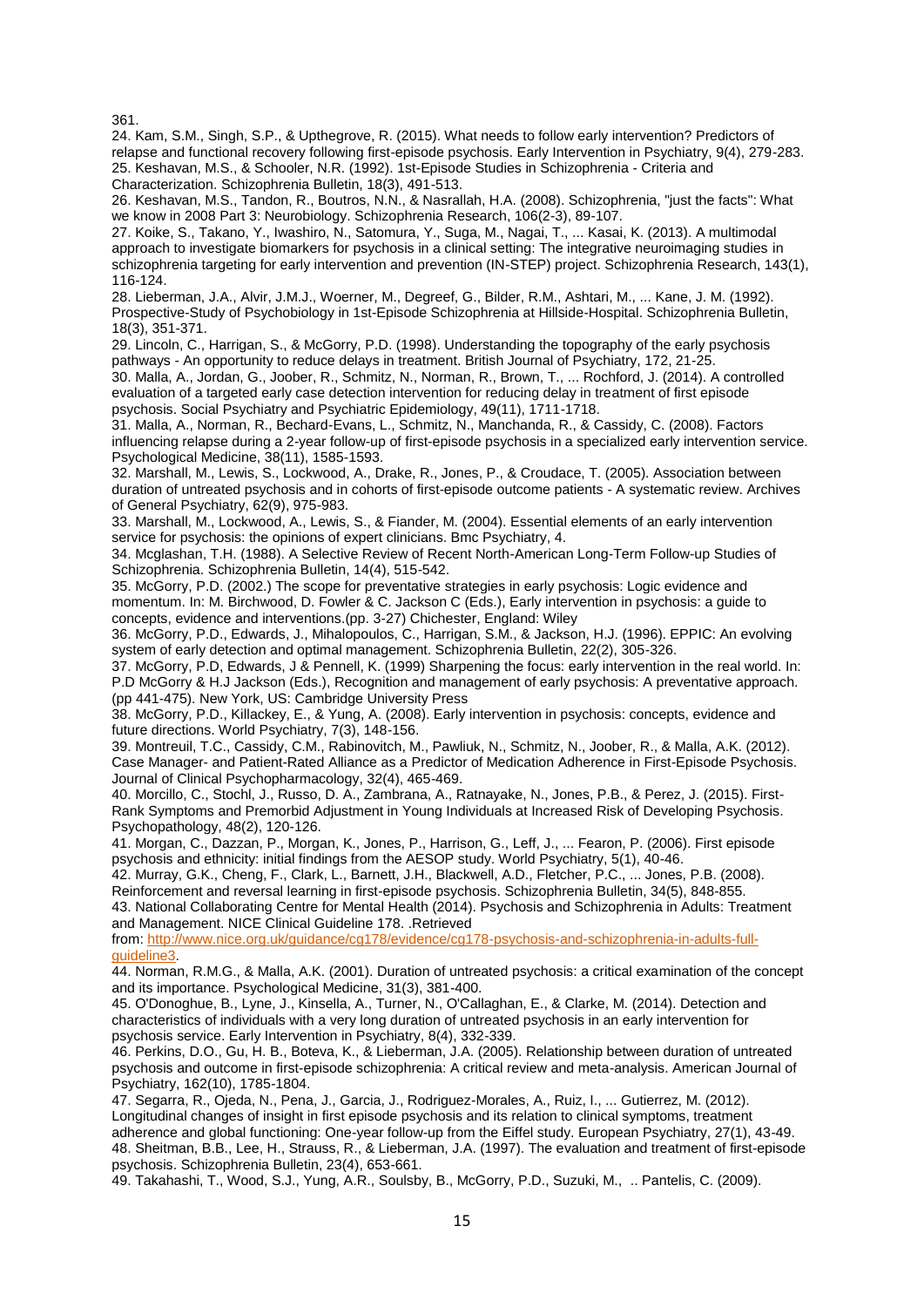361.

24. Kam, S.M., Singh, S.P., & Upthegrove, R. (2015). What needs to follow early intervention? Predictors of relapse and functional recovery following first-episode psychosis. Early Intervention in Psychiatry, 9(4), 279-283. 25. Keshavan, M.S., & Schooler, N.R. (1992). 1st-Episode Studies in Schizophrenia - Criteria and Characterization. Schizophrenia Bulletin, 18(3), 491-513.

26. Keshavan, M.S., Tandon, R., Boutros, N.N., & Nasrallah, H.A. (2008). Schizophrenia, "just the facts": What we know in 2008 Part 3: Neurobiology. Schizophrenia Research, 106(2-3), 89-107.

27. Koike, S., Takano, Y., Iwashiro, N., Satomura, Y., Suga, M., Nagai, T., ... Kasai, K. (2013). A multimodal approach to investigate biomarkers for psychosis in a clinical setting: The integrative neuroimaging studies in schizophrenia targeting for early intervention and prevention (IN-STEP) project. Schizophrenia Research, 143(1), 116-124.

28. Lieberman, J.A., Alvir, J.M.J., Woerner, M., Degreef, G., Bilder, R.M., Ashtari, M., ... Kane, J. M. (1992). Prospective-Study of Psychobiology in 1st-Episode Schizophrenia at Hillside-Hospital. Schizophrenia Bulletin, 18(3), 351-371.

29. Lincoln, C., Harrigan, S., & McGorry, P.D. (1998). Understanding the topography of the early psychosis pathways - An opportunity to reduce delays in treatment. British Journal of Psychiatry, 172, 21-25.

30. Malla, A., Jordan, G., Joober, R., Schmitz, N., Norman, R., Brown, T., ... Rochford, J. (2014). A controlled evaluation of a targeted early case detection intervention for reducing delay in treatment of first episode psychosis. Social Psychiatry and Psychiatric Epidemiology, 49(11), 1711-1718.

31. Malla, A., Norman, R., Bechard-Evans, L., Schmitz, N., Manchanda, R., & Cassidy, C. (2008). Factors influencing relapse during a 2-year follow-up of first-episode psychosis in a specialized early intervention service. Psychological Medicine, 38(11), 1585-1593.

32. Marshall, M., Lewis, S., Lockwood, A., Drake, R., Jones, P., & Croudace, T. (2005). Association between duration of untreated psychosis and in cohorts of first-episode outcome patients - A systematic review. Archives of General Psychiatry, 62(9), 975-983.

33. Marshall, M., Lockwood, A., Lewis, S., & Fiander, M. (2004). Essential elements of an early intervention service for psychosis: the opinions of expert clinicians. Bmc Psychiatry, 4.

34. Mcglashan, T.H. (1988). A Selective Review of Recent North-American Long-Term Follow-up Studies of Schizophrenia. Schizophrenia Bulletin, 14(4), 515-542.

35. McGorry, P.D. (2002.) The scope for preventative strategies in early psychosis: Logic evidence and momentum. In: M. Birchwood, D. Fowler & C. Jackson C (Eds.), Early intervention in psychosis: a guide to concepts, evidence and interventions.(pp. 3-27) Chichester, England: Wiley

36. McGorry, P.D., Edwards, J., Mihalopoulos, C., Harrigan, S.M., & Jackson, H.J. (1996). EPPIC: An evolving system of early detection and optimal management. Schizophrenia Bulletin, 22(2), 305-326.

37. McGorry, P.D, Edwards, J & Pennell, K. (1999) Sharpening the focus: early intervention in the real world. In: P.D McGorry & H.J Jackson (Eds.), Recognition and management of early psychosis: A preventative approach. (pp 441-475). New York, US: Cambridge University Press

38. McGorry, P.D., Killackey, E., & Yung, A. (2008). Early intervention in psychosis: concepts, evidence and future directions. World Psychiatry, 7(3), 148-156.

39. Montreuil, T.C., Cassidy, C.M., Rabinovitch, M., Pawliuk, N., Schmitz, N., Joober, R., & Malla, A.K. (2012). Case Manager- and Patient-Rated Alliance as a Predictor of Medication Adherence in First-Episode Psychosis. Journal of Clinical Psychopharmacology, 32(4), 465-469.

40. Morcillo, C., Stochl, J., Russo, D. A., Zambrana, A., Ratnayake, N., Jones, P.B., & Perez, J. (2015). First-Rank Symptoms and Premorbid Adjustment in Young Individuals at Increased Risk of Developing Psychosis. Psychopathology, 48(2), 120-126.

41. Morgan, C., Dazzan, P., Morgan, K., Jones, P., Harrison, G., Leff, J., ... Fearon, P. (2006). First episode psychosis and ethnicity: initial findings from the AESOP study. World Psychiatry, 5(1), 40-46.

42. Murray, G.K., Cheng, F., Clark, L., Barnett, J.H., Blackwell, A.D., Fletcher, P.C., ... Jones, P.B. (2008). Reinforcement and reversal learning in first-episode psychosis. Schizophrenia Bulletin, 34(5), 848-855.

43. National Collaborating Centre for Mental Health (2014). Psychosis and Schizophrenia in Adults: Treatment and Management. NICE Clinical Guideline 178. .Retrieved

from: [http://www.nice.org.uk/guidance/cg178/evidence/cg178-psychosis-and-schizophrenia-in-adults-full](http://www.nice.org.uk/guidance/cg178/evidence/cg178-psychosis-and-schizophrenia-in-adults-full-guideline3)[guideline3.](http://www.nice.org.uk/guidance/cg178/evidence/cg178-psychosis-and-schizophrenia-in-adults-full-guideline3)

44. Norman, R.M.G., & Malla, A.K. (2001). Duration of untreated psychosis: a critical examination of the concept and its importance. Psychological Medicine, 31(3), 381-400.

45. O'Donoghue, B., Lyne, J., Kinsella, A., Turner, N., O'Callaghan, E., & Clarke, M. (2014). Detection and characteristics of individuals with a very long duration of untreated psychosis in an early intervention for psychosis service. Early Intervention in Psychiatry, 8(4), 332-339.

46. Perkins, D.O., Gu, H. B., Boteva, K., & Lieberman, J.A. (2005). Relationship between duration of untreated psychosis and outcome in first-episode schizophrenia: A critical review and meta-analysis. American Journal of Psychiatry, 162(10), 1785-1804.

47. Segarra, R., Ojeda, N., Pena, J., Garcia, J., Rodriguez-Morales, A., Ruiz, I., ... Gutierrez, M. (2012). Longitudinal changes of insight in first episode psychosis and its relation to clinical symptoms, treatment adherence and global functioning: One-year follow-up from the Eiffel study. European Psychiatry, 27(1), 43-49. 48. Sheitman, B.B., Lee, H., Strauss, R., & Lieberman, J.A. (1997). The evaluation and treatment of first-episode psychosis. Schizophrenia Bulletin, 23(4), 653-661.

49. Takahashi, T., Wood, S.J., Yung, A.R., Soulsby, B., McGorry, P.D., Suzuki, M., .. Pantelis, C. (2009).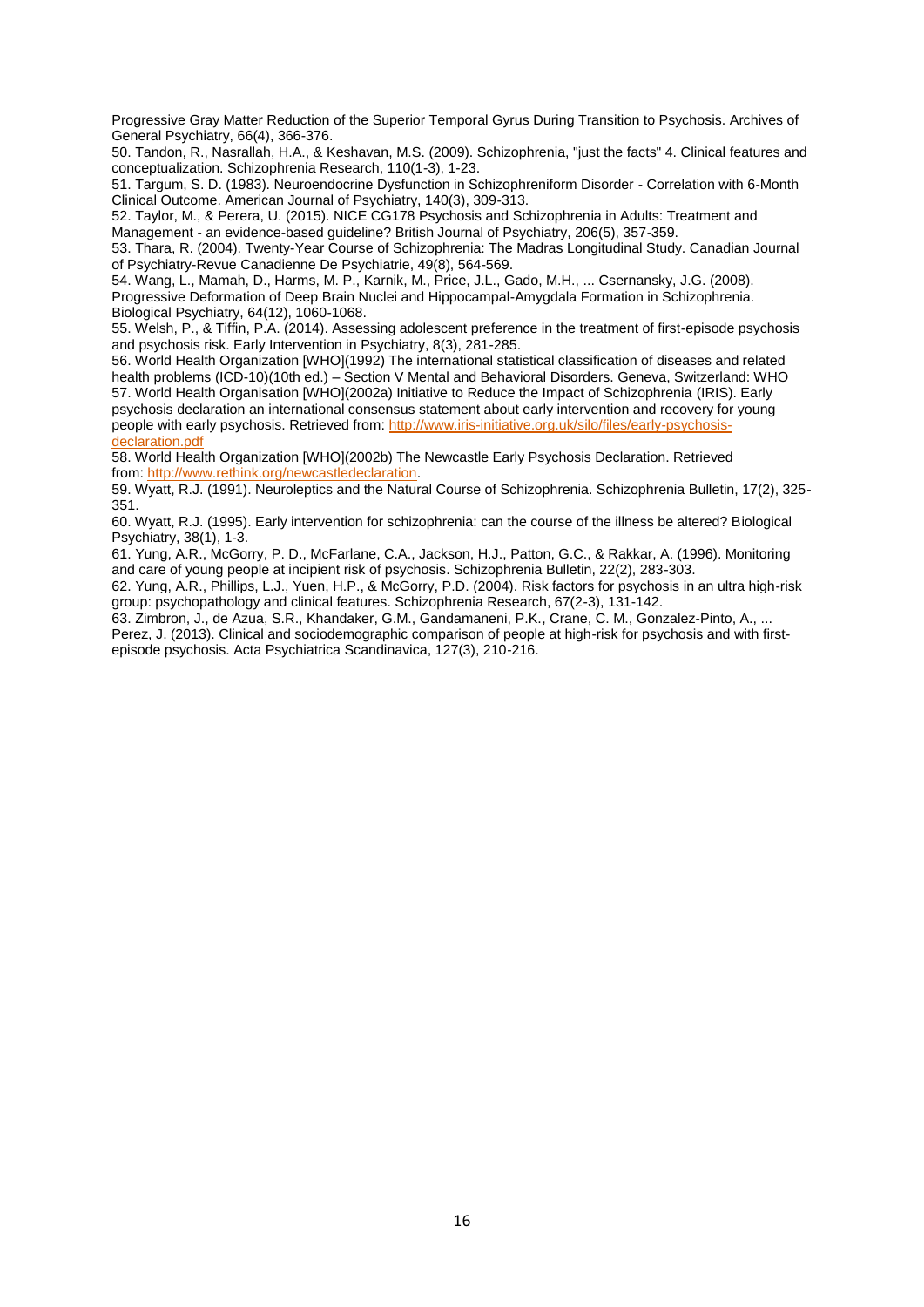Progressive Gray Matter Reduction of the Superior Temporal Gyrus During Transition to Psychosis. Archives of General Psychiatry, 66(4), 366-376.

50. Tandon, R., Nasrallah, H.A., & Keshavan, M.S. (2009). Schizophrenia, "just the facts" 4. Clinical features and conceptualization. Schizophrenia Research, 110(1-3), 1-23.

51. Targum, S. D. (1983). Neuroendocrine Dysfunction in Schizophreniform Disorder - Correlation with 6-Month Clinical Outcome. American Journal of Psychiatry, 140(3), 309-313.

52. Taylor, M., & Perera, U. (2015). NICE CG178 Psychosis and Schizophrenia in Adults: Treatment and Management - an evidence-based guideline? British Journal of Psychiatry, 206(5), 357-359.

53. Thara, R. (2004). Twenty-Year Course of Schizophrenia: The Madras Longitudinal Study. Canadian Journal of Psychiatry-Revue Canadienne De Psychiatrie, 49(8), 564-569.

54. Wang, L., Mamah, D., Harms, M. P., Karnik, M., Price, J.L., Gado, M.H., ... Csernansky, J.G. (2008). Progressive Deformation of Deep Brain Nuclei and Hippocampal-Amygdala Formation in Schizophrenia. Biological Psychiatry, 64(12), 1060-1068.

55. Welsh, P., & Tiffin, P.A. (2014). Assessing adolescent preference in the treatment of first-episode psychosis and psychosis risk. Early Intervention in Psychiatry, 8(3), 281-285.

56. World Health Organization [WHO](1992) The international statistical classification of diseases and related health problems (ICD-10)(10th ed.) – Section V Mental and Behavioral Disorders. Geneva, Switzerland: WHO 57. World Health Organisation [WHO](2002a) Initiative to Reduce the Impact of Schizophrenia (IRIS). Early psychosis declaration an international consensus statement about early intervention and recovery for young people with early psychosis. Retrieved from: [http://www.iris-initiative.org.uk/silo/files/early-psychosis](http://www.iris-initiative.org.uk/silo/files/early-psychosis-declaration.pdf)declaration.pdf

58. World Health Organization [WHO](2002b) The Newcastle Early Psychosis Declaration. Retrieved from: [http://www.rethink.org/newcastledeclaration.](http://www.rethink.org/newcastledeclaration)

59. Wyatt, R.J. (1991). Neuroleptics and the Natural Course of Schizophrenia. Schizophrenia Bulletin, 17(2), 325- 351.

60. Wyatt, R.J. (1995). Early intervention for schizophrenia: can the course of the illness be altered? Biological Psychiatry, 38(1), 1-3.

61. Yung, A.R., McGorry, P. D., McFarlane, C.A., Jackson, H.J., Patton, G.C., & Rakkar, A. (1996). Monitoring and care of young people at incipient risk of psychosis. Schizophrenia Bulletin, 22(2), 283-303.

62. Yung, A.R., Phillips, L.J., Yuen, H.P., & McGorry, P.D. (2004). Risk factors for psychosis in an ultra high-risk group: psychopathology and clinical features. Schizophrenia Research, 67(2-3), 131-142.

63. Zimbron, J., de Azua, S.R., Khandaker, G.M., Gandamaneni, P.K., Crane, C. M., Gonzalez-Pinto, A., ... Perez, J. (2013). Clinical and sociodemographic comparison of people at high-risk for psychosis and with firstepisode psychosis. Acta Psychiatrica Scandinavica, 127(3), 210-216.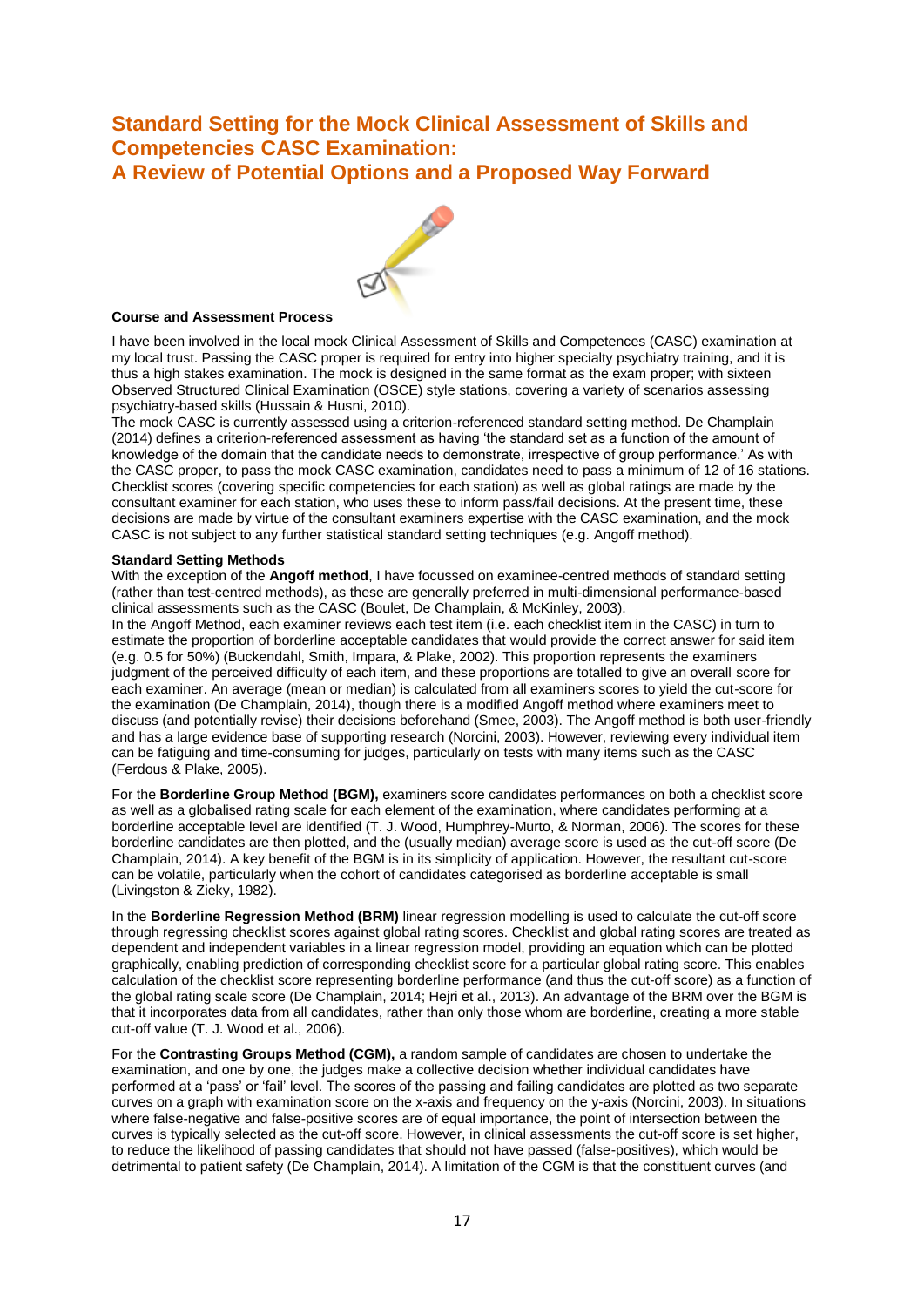### **Standard Setting for the Mock Clinical Assessment of Skills and Competencies CASC Examination: A Review of Potential Options and a Proposed Way Forward**



#### **Course and Assessment Process**

I have been involved in the local mock Clinical Assessment of Skills and Competences (CASC) examination at my local trust. Passing the CASC proper is required for entry into higher specialty psychiatry training, and it is thus a high stakes examination. The mock is designed in the same format as the exam proper; with sixteen Observed Structured Clinical Examination (OSCE) style stations, covering a variety of scenarios assessing psychiatry-based skills (Hussain & Husni, 2010).

The mock CASC is currently assessed using a criterion-referenced standard setting method. De Champlain (2014) defines a criterion-referenced assessment as having 'the standard set as a function of the amount of knowledge of the domain that the candidate needs to demonstrate, irrespective of group performance.' As with the CASC proper, to pass the mock CASC examination, candidates need to pass a minimum of 12 of 16 stations. Checklist scores (covering specific competencies for each station) as well as global ratings are made by the consultant examiner for each station, who uses these to inform pass/fail decisions. At the present time, these decisions are made by virtue of the consultant examiners expertise with the CASC examination, and the mock CASC is not subject to any further statistical standard setting techniques (e.g. Angoff method).

#### **Standard Setting Methods**

With the exception of the **Angoff method**, I have focussed on examinee-centred methods of standard setting (rather than test-centred methods), as these are generally preferred in multi-dimensional performance-based clinical assessments such as the CASC (Boulet, De Champlain, & McKinley, 2003).

In the Angoff Method, each examiner reviews each test item (i.e. each checklist item in the CASC) in turn to estimate the proportion of borderline acceptable candidates that would provide the correct answer for said item (e.g. 0.5 for 50%) (Buckendahl, Smith, Impara, & Plake, 2002). This proportion represents the examiners judgment of the perceived difficulty of each item, and these proportions are totalled to give an overall score for each examiner. An average (mean or median) is calculated from all examiners scores to yield the cut-score for the examination (De Champlain, 2014), though there is a modified Angoff method where examiners meet to discuss (and potentially revise) their decisions beforehand (Smee, 2003). The Angoff method is both user-friendly and has a large evidence base of supporting research (Norcini, 2003). However, reviewing every individual item can be fatiguing and time-consuming for judges, particularly on tests with many items such as the CASC (Ferdous & Plake, 2005).

For the **Borderline Group Method (BGM),** examiners score candidates performances on both a checklist score as well as a globalised rating scale for each element of the examination, where candidates performing at a borderline acceptable level are identified (T. J. Wood, Humphrey-Murto, & Norman, 2006). The scores for these borderline candidates are then plotted, and the (usually median) average score is used as the cut-off score (De Champlain, 2014). A key benefit of the BGM is in its simplicity of application. However, the resultant cut-score can be volatile, particularly when the cohort of candidates categorised as borderline acceptable is small (Livingston & Zieky, 1982).

In the **Borderline Regression Method (BRM)** linear regression modelling is used to calculate the cut-off score through regressing checklist scores against global rating scores. Checklist and global rating scores are treated as dependent and independent variables in a linear regression model, providing an equation which can be plotted graphically, enabling prediction of corresponding checklist score for a particular global rating score. This enables calculation of the checklist score representing borderline performance (and thus the cut-off score) as a function of the global rating scale score (De Champlain, 2014; Hejri et al., 2013). An advantage of the BRM over the BGM is that it incorporates data from all candidates, rather than only those whom are borderline, creating a more stable cut-off value (T. J. Wood et al., 2006).

For the **Contrasting Groups Method (CGM),** a random sample of candidates are chosen to undertake the examination, and one by one, the judges make a collective decision whether individual candidates have performed at a 'pass' or 'fail' level. The scores of the passing and failing candidates are plotted as two separate curves on a graph with examination score on the x-axis and frequency on the y-axis (Norcini, 2003). In situations where false-negative and false-positive scores are of equal importance, the point of intersection between the curves is typically selected as the cut-off score. However, in clinical assessments the cut-off score is set higher, to reduce the likelihood of passing candidates that should not have passed (false-positives), which would be detrimental to patient safety (De Champlain, 2014). A limitation of the CGM is that the constituent curves (and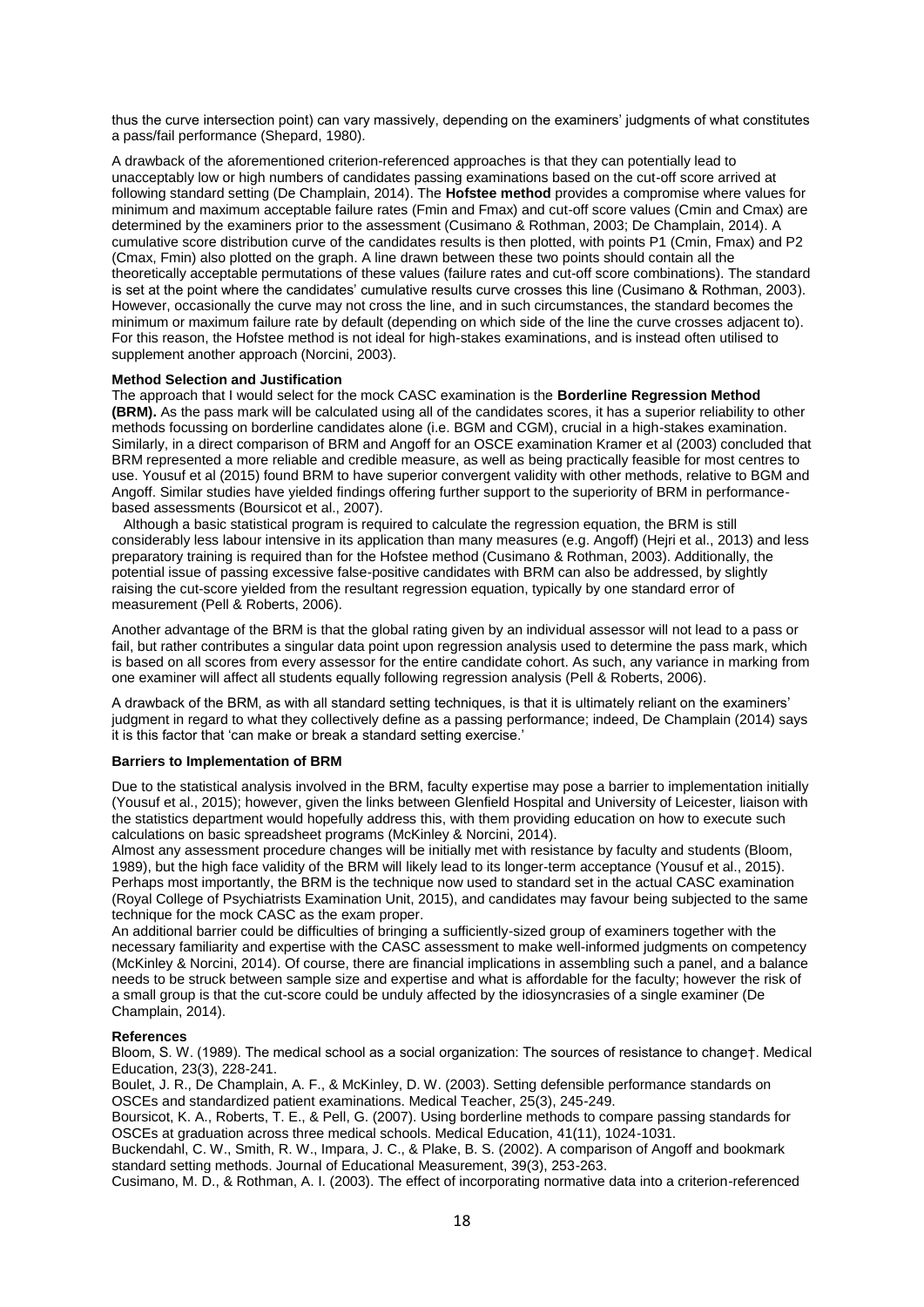thus the curve intersection point) can vary massively, depending on the examiners' judgments of what constitutes a pass/fail performance (Shepard, 1980).

A drawback of the aforementioned criterion-referenced approaches is that they can potentially lead to unacceptably low or high numbers of candidates passing examinations based on the cut-off score arrived at following standard setting (De Champlain, 2014). The **Hofstee method** provides a compromise where values for minimum and maximum acceptable failure rates (Fmin and Fmax) and cut-off score values (Cmin and Cmax) are determined by the examiners prior to the assessment (Cusimano & Rothman, 2003; De Champlain, 2014). A cumulative score distribution curve of the candidates results is then plotted, with points P1 (Cmin, Fmax) and P2 (Cmax, Fmin) also plotted on the graph. A line drawn between these two points should contain all the theoretically acceptable permutations of these values (failure rates and cut-off score combinations). The standard is set at the point where the candidates' cumulative results curve crosses this line (Cusimano & Rothman, 2003). However, occasionally the curve may not cross the line, and in such circumstances, the standard becomes the minimum or maximum failure rate by default (depending on which side of the line the curve crosses adjacent to). For this reason, the Hofstee method is not ideal for high-stakes examinations, and is instead often utilised to supplement another approach (Norcini, 2003).

#### **Method Selection and Justification**

The approach that I would select for the mock CASC examination is the **Borderline Regression Method (BRM).** As the pass mark will be calculated using all of the candidates scores, it has a superior reliability to other methods focussing on borderline candidates alone (i.e. BGM and CGM), crucial in a high-stakes examination. Similarly, in a direct comparison of BRM and Angoff for an OSCE examination Kramer et al (2003) concluded that BRM represented a more reliable and credible measure, as well as being practically feasible for most centres to use. Yousuf et al (2015) found BRM to have superior convergent validity with other methods, relative to BGM and Angoff. Similar studies have yielded findings offering further support to the superiority of BRM in performancebased assessments (Boursicot et al., 2007).

 Although a basic statistical program is required to calculate the regression equation, the BRM is still considerably less labour intensive in its application than many measures (e.g. Angoff) (Hejri et al., 2013) and less preparatory training is required than for the Hofstee method (Cusimano & Rothman, 2003). Additionally, the potential issue of passing excessive false-positive candidates with BRM can also be addressed, by slightly raising the cut-score yielded from the resultant regression equation, typically by one standard error of measurement (Pell & Roberts, 2006).

Another advantage of the BRM is that the global rating given by an individual assessor will not lead to a pass or fail, but rather contributes a singular data point upon regression analysis used to determine the pass mark, which is based on all scores from every assessor for the entire candidate cohort. As such, any variance in marking from one examiner will affect all students equally following regression analysis (Pell & Roberts, 2006).

A drawback of the BRM, as with all standard setting techniques, is that it is ultimately reliant on the examiners' judgment in regard to what they collectively define as a passing performance; indeed, De Champlain (2014) says it is this factor that 'can make or break a standard setting exercise.'

#### **Barriers to Implementation of BRM**

Due to the statistical analysis involved in the BRM, faculty expertise may pose a barrier to implementation initially (Yousuf et al., 2015); however, given the links between Glenfield Hospital and University of Leicester, liaison with the statistics department would hopefully address this, with them providing education on how to execute such calculations on basic spreadsheet programs (McKinley & Norcini, 2014).

Almost any assessment procedure changes will be initially met with resistance by faculty and students (Bloom, 1989), but the high face validity of the BRM will likely lead to its longer-term acceptance (Yousuf et al., 2015). Perhaps most importantly, the BRM is the technique now used to standard set in the actual CASC examination (Royal College of Psychiatrists Examination Unit, 2015), and candidates may favour being subjected to the same technique for the mock CASC as the exam proper.

An additional barrier could be difficulties of bringing a sufficiently-sized group of examiners together with the necessary familiarity and expertise with the CASC assessment to make well-informed judgments on competency (McKinley & Norcini, 2014). Of course, there are financial implications in assembling such a panel, and a balance needs to be struck between sample size and expertise and what is affordable for the faculty; however the risk of a small group is that the cut-score could be unduly affected by the idiosyncrasies of a single examiner (De Champlain, 2014).

#### **References**

Bloom, S. W. (1989). The medical school as a social organization: The sources of resistance to change†. Medical Education, 23(3), 228-241.

Boulet, J. R., De Champlain, A. F., & McKinley, D. W. (2003). Setting defensible performance standards on OSCEs and standardized patient examinations. Medical Teacher, 25(3), 245-249.

Boursicot, K. A., Roberts, T. E., & Pell, G. (2007). Using borderline methods to compare passing standards for OSCEs at graduation across three medical schools. Medical Education, 41(11), 1024-1031.

Buckendahl, C. W., Smith, R. W., Impara, J. C., & Plake, B. S. (2002). A comparison of Angoff and bookmark standard setting methods. Journal of Educational Measurement, 39(3), 253-263.

Cusimano, M. D., & Rothman, A. I. (2003). The effect of incorporating normative data into a criterion-referenced